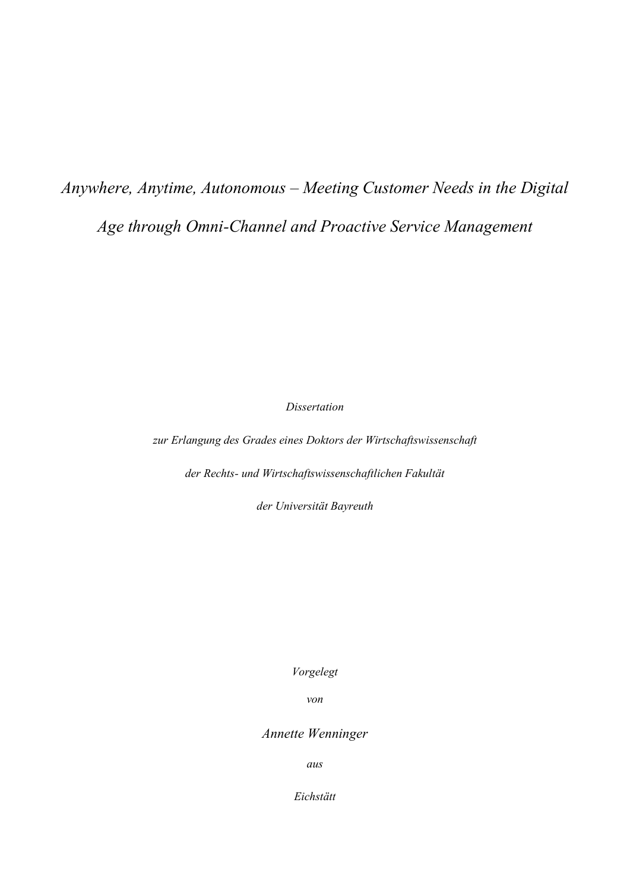# *Anywhere, Anytime, Autonomous – Meeting Customer Needs in the Digital Age through Omni-Channel and Proactive Service Management*

*Dissertation*

*zur Erlangung des Grades eines Doktors der Wirtschaftswissenschaft*

*der Rechts- und Wirtschaftswissenschaftlichen Fakultät*

*der Universität Bayreuth*

*Vorgelegt*

*von*

*Annette Wenninger*

*aus*

*Eichstätt*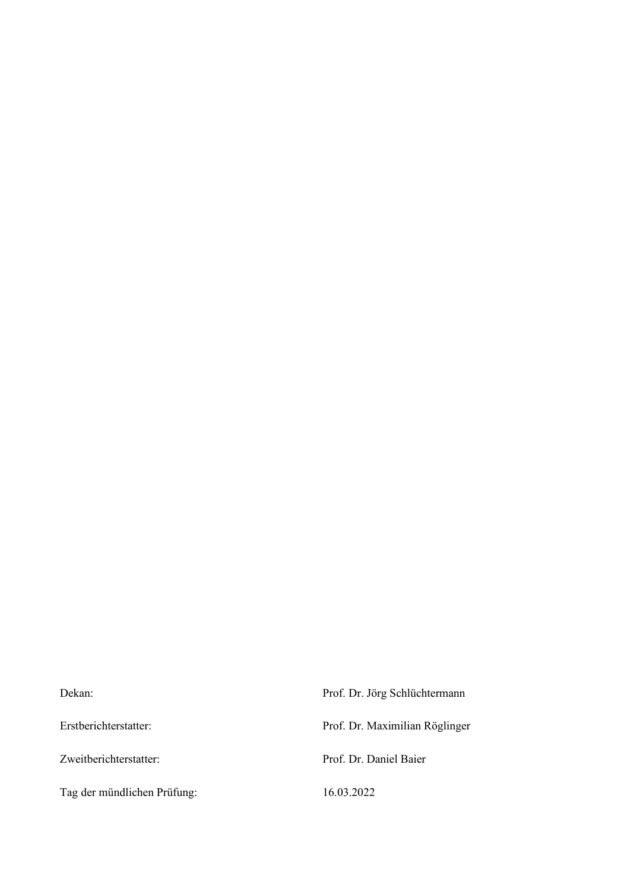| Dekan:                      | Prof. Dr. Jörg Schlüchtermann  |
|-----------------------------|--------------------------------|
| Erstberichterstatter:       | Prof. Dr. Maximilian Röglinger |
| Zweitberichterstatter:      | Prof. Dr. Daniel Baier         |
| Tag der mündlichen Prüfung: | 16.03.2022                     |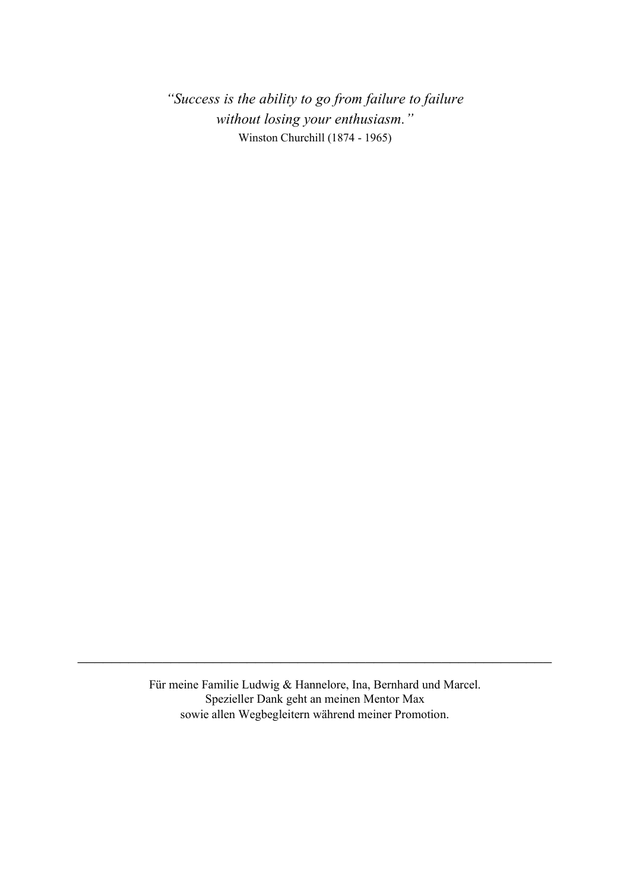*"Success is the ability to go from failure to failure without losing your enthusiasm."* Winston Churchill (1874 - 1965)

Für meine Familie Ludwig & Hannelore, Ina, Bernhard und Marcel. Spezieller Dank geht an meinen Mentor Max sowie allen Wegbegleitern während meiner Promotion.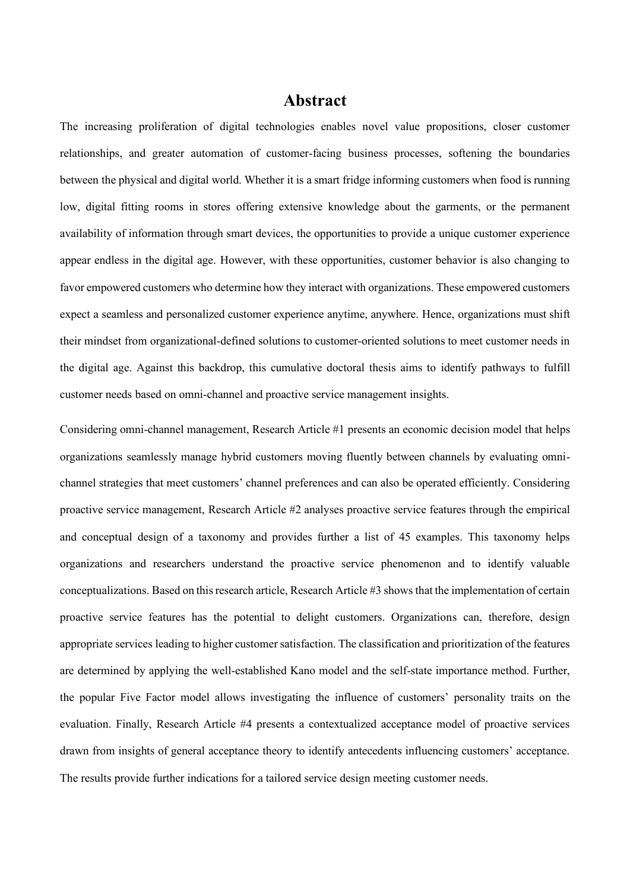### **Abstract**

The increasing proliferation of digital technologies enables novel value propositions, closer customer relationships, and greater automation of customer-facing business processes, softening the boundaries between the physical and digital world. Whether it is a smart fridge informing customers when food is running low, digital fitting rooms in stores offering extensive knowledge about the garments, or the permanent availability of information through smart devices, the opportunities to provide a unique customer experience appear endless in the digital age. However, with these opportunities, customer behavior is also changing to favor empowered customers who determine how they interact with organizations. These empowered customers expect a seamless and personalized customer experience anytime, anywhere. Hence, organizations must shift their mindset from organizational-defined solutions to customer-oriented solutions to meet customer needs in the digital age. Against this backdrop, this cumulative doctoral thesis aims to identify pathways to fulfill customer needs based on omni-channel and proactive service management insights.

Considering omni-channel management, Research Article #1 presents an economic decision model that helps organizations seamlessly manage hybrid customers moving fluently between channels by evaluating omnichannel strategies that meet customers' channel preferences and can also be operated efficiently. Considering proactive service management, Research Article #2 analyses proactive service features through the empirical and conceptual design of a taxonomy and provides further a list of 45 examples. This taxonomy helps organizations and researchers understand the proactive service phenomenon and to identify valuable conceptualizations. Based on this research article, Research Article #3 shows that the implementation of certain proactive service features has the potential to delight customers. Organizations can, therefore, design appropriate services leading to higher customer satisfaction. The classification and prioritization of the features are determined by applying the well-established Kano model and the self-state importance method. Further, the popular Five Factor model allows investigating the influence of customers' personality traits on the evaluation. Finally, Research Article #4 presents a contextualized acceptance model of proactive services drawn from insights of general acceptance theory to identify antecedents influencing customers' acceptance. The results provide further indications for a tailored service design meeting customer needs.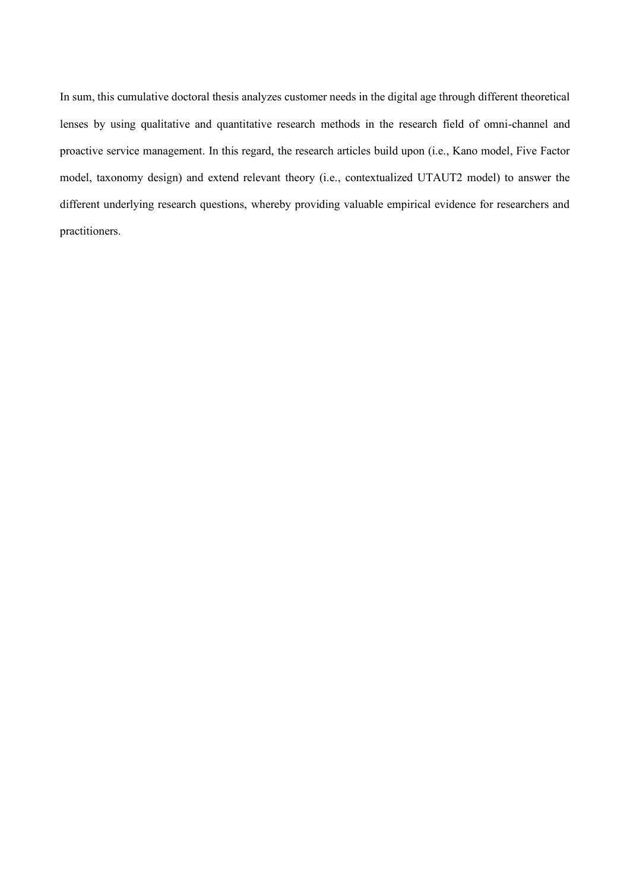In sum, this cumulative doctoral thesis analyzes customer needs in the digital age through different theoretical lenses by using qualitative and quantitative research methods in the research field of omni-channel and proactive service management. In this regard, the research articles build upon (i.e., Kano model, Five Factor model, taxonomy design) and extend relevant theory (i.e., contextualized UTAUT2 model) to answer the different underlying research questions, whereby providing valuable empirical evidence for researchers and practitioners.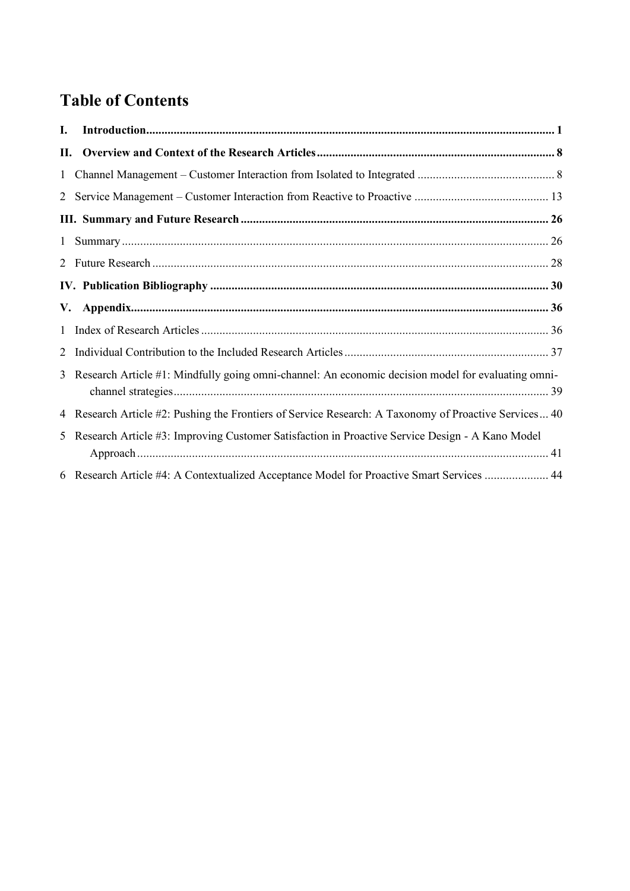# **Table of Contents**

| I.           |                                                                                                       |  |
|--------------|-------------------------------------------------------------------------------------------------------|--|
| П.           |                                                                                                       |  |
|              |                                                                                                       |  |
|              |                                                                                                       |  |
|              |                                                                                                       |  |
| $\mathbf{1}$ |                                                                                                       |  |
|              |                                                                                                       |  |
|              |                                                                                                       |  |
| V.           |                                                                                                       |  |
| $\mathbf{1}$ |                                                                                                       |  |
| 2            |                                                                                                       |  |
|              | 3 Research Article #1: Mindfully going omni-channel: An economic decision model for evaluating omni-  |  |
|              | 4 Research Article #2: Pushing the Frontiers of Service Research: A Taxonomy of Proactive Services 40 |  |
| 5            | Research Article #3: Improving Customer Satisfaction in Proactive Service Design - A Kano Model       |  |
|              | 6 Research Article #4: A Contextualized Acceptance Model for Proactive Smart Services  44             |  |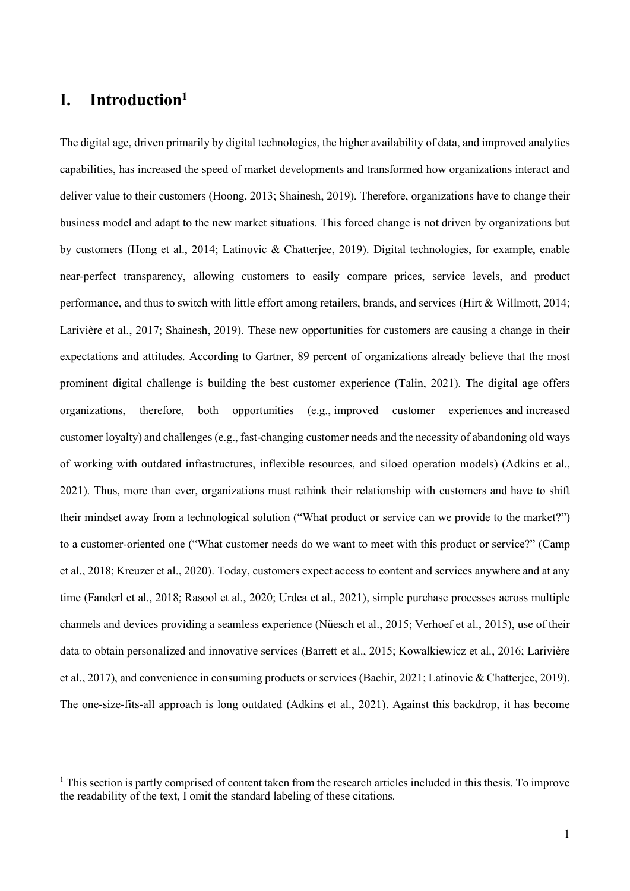## <span id="page-6-0"></span>**I. Introduction<sup>1</sup>**

The digital age, driven primarily by digital technologies, the higher availability of data, and improved analytics capabilities, has increased the speed of market developments and transformed how organizations interact and deliver value to their customers (Hoong, 2013; Shainesh, 2019). Therefore, organizations have to change their business model and adapt to the new market situations. This forced change is not driven by organizations but by customers (Hong et al., 2014; Latinovic & Chatterjee, 2019). Digital technologies, for example, enable near-perfect transparency, allowing customers to easily compare prices, service levels, and product performance, and thus to switch with little effort among retailers, brands, and services (Hirt & Willmott, 2014; Larivière et al., 2017; Shainesh, 2019). These new opportunities for customers are causing a change in their expectations and attitudes. According to Gartner, 89 percent of organizations already believe that the most prominent digital challenge is building the best customer experience (Talin, 2021). The digital age offers organizations, therefore, both opportunities (e.g., improved customer experiences and increased customer loyalty) and challenges (e.g., fast-changing customer needs and the necessity of abandoning old ways of working with outdated infrastructures, inflexible resources, and siloed operation models) (Adkins et al., 2021). Thus, more than ever, organizations must rethink their relationship with customers and have to shift their mindset away from a technological solution ("What product or service can we provide to the market?") to a customer-oriented one ("What customer needs do we want to meet with this product or service?" (Camp et al., 2018; Kreuzer et al., 2020). Today, customers expect access to content and services anywhere and at any time (Fanderl et al., 2018; Rasool et al., 2020; Urdea et al., 2021), simple purchase processes across multiple channels and devices providing a seamless experience (Nüesch et al., 2015; Verhoef et al., 2015), use of their data to obtain personalized and innovative services (Barrett et al., 2015; Kowalkiewicz et al., 2016; Larivière et al., 2017), and convenience in consuming products orservices (Bachir, 2021; Latinovic & Chatterjee, 2019). The one-size-fits-all approach is long outdated (Adkins et al., 2021). Against this backdrop, it has become

 $1$  This section is partly comprised of content taken from the research articles included in this thesis. To improve the readability of the text, I omit the standard labeling of these citations.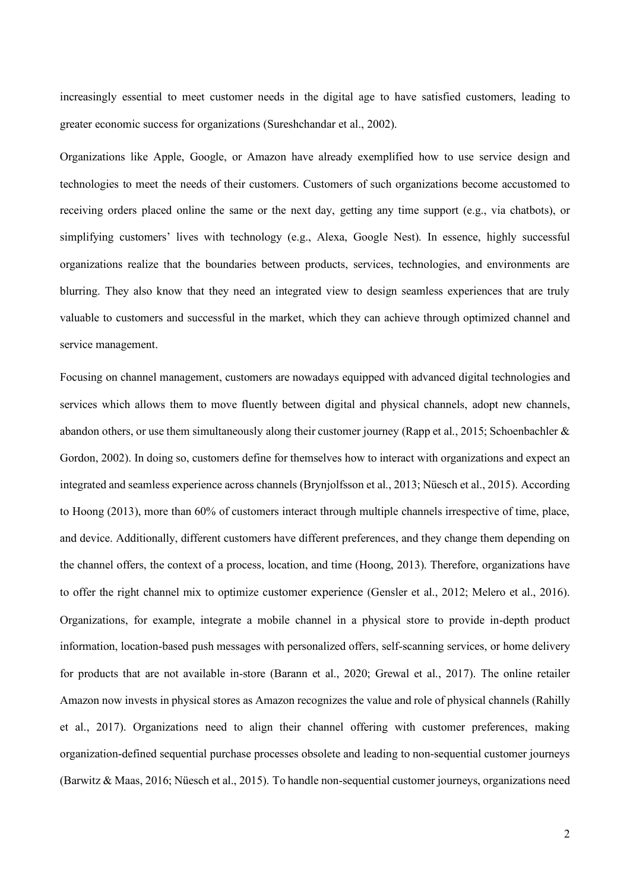increasingly essential to meet customer needs in the digital age to have satisfied customers, leading to greater economic success for organizations (Sureshchandar et al., 2002).

Organizations like Apple, Google, or Amazon have already exemplified how to use service design and technologies to meet the needs of their customers. Customers of such organizations become accustomed to receiving orders placed online the same or the next day, getting any time support (e.g., via chatbots), or simplifying customers' lives with technology (e.g., Alexa, Google Nest). In essence, highly successful organizations realize that the boundaries between products, services, technologies, and environments are blurring. They also know that they need an integrated view to design seamless experiences that are truly valuable to customers and successful in the market, which they can achieve through optimized channel and service management.

Focusing on channel management, customers are nowadays equipped with advanced digital technologies and services which allows them to move fluently between digital and physical channels, adopt new channels, abandon others, or use them simultaneously along their customer journey (Rapp et al., 2015; Schoenbachler & Gordon, 2002). In doing so, customers define for themselves how to interact with organizations and expect an integrated and seamless experience across channels (Brynjolfsson et al., 2013; Nüesch et al., 2015). According to Hoong (2013), more than 60% of customers interact through multiple channels irrespective of time, place, and device. Additionally, different customers have different preferences, and they change them depending on the channel offers, the context of a process, location, and time (Hoong, 2013). Therefore, organizations have to offer the right channel mix to optimize customer experience (Gensler et al., 2012; Melero et al., 2016). Organizations, for example, integrate a mobile channel in a physical store to provide in-depth product information, location-based push messages with personalized offers, self-scanning services, or home delivery for products that are not available in-store (Barann et al., 2020; Grewal et al., 2017). The online retailer Amazon now invests in physical stores as Amazon recognizes the value and role of physical channels (Rahilly et al., 2017). Organizations need to align their channel offering with customer preferences, making organization-defined sequential purchase processes obsolete and leading to non-sequential customer journeys (Barwitz & Maas, 2016; Nüesch et al., 2015). To handle non-sequential customer journeys, organizations need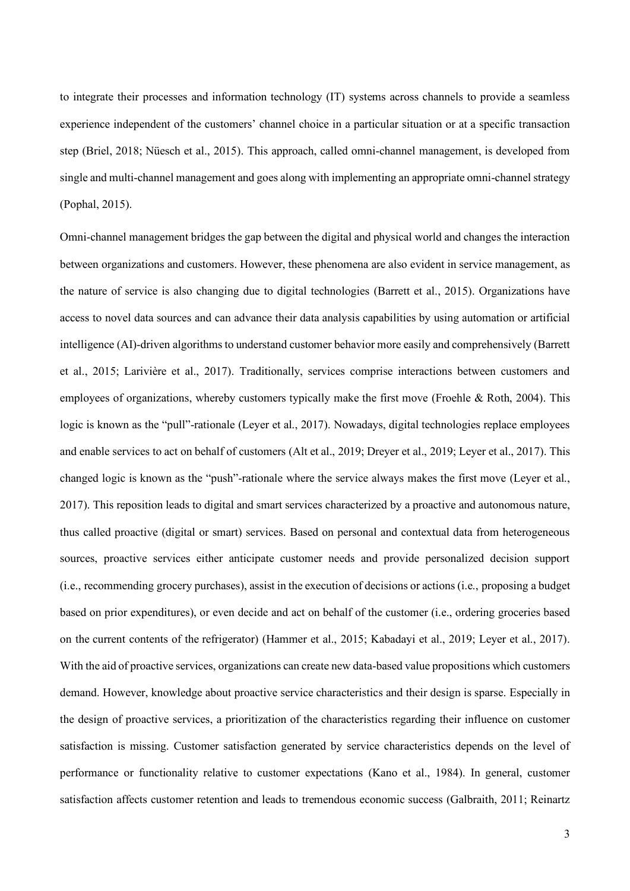to integrate their processes and information technology (IT) systems across channels to provide a seamless experience independent of the customers' channel choice in a particular situation or at a specific transaction step (Briel, 2018; Nüesch et al., 2015). This approach, called omni-channel management, is developed from single and multi-channel management and goes along with implementing an appropriate omni-channel strategy (Pophal, 2015).

Omni-channel management bridges the gap between the digital and physical world and changes the interaction between organizations and customers. However, these phenomena are also evident in service management, as the nature of service is also changing due to digital technologies (Barrett et al., 2015). Organizations have access to novel data sources and can advance their data analysis capabilities by using automation or artificial intelligence (AI)-driven algorithms to understand customer behavior more easily and comprehensively (Barrett et al., 2015; Larivière et al., 2017). Traditionally, services comprise interactions between customers and employees of organizations, whereby customers typically make the first move (Froehle & Roth, 2004). This logic is known as the "pull"-rationale (Leyer et al., 2017). Nowadays, digital technologies replace employees and enable services to act on behalf of customers (Alt et al., 2019; Dreyer et al., 2019; Leyer et al., 2017). This changed logic is known as the "push"-rationale where the service always makes the first move (Leyer et al., 2017). This reposition leads to digital and smart services characterized by a proactive and autonomous nature, thus called proactive (digital or smart) services. Based on personal and contextual data from heterogeneous sources, proactive services either anticipate customer needs and provide personalized decision support (i.e., recommending grocery purchases), assist in the execution of decisions or actions (i.e., proposing a budget based on prior expenditures), or even decide and act on behalf of the customer (i.e., ordering groceries based on the current contents of the refrigerator) (Hammer et al., 2015; Kabadayi et al., 2019; Leyer et al., 2017). With the aid of proactive services, organizations can create new data-based value propositions which customers demand. However, knowledge about proactive service characteristics and their design is sparse. Especially in the design of proactive services, a prioritization of the characteristics regarding their influence on customer satisfaction is missing. Customer satisfaction generated by service characteristics depends on the level of performance or functionality relative to customer expectations (Kano et al., 1984). In general, customer satisfaction affects customer retention and leads to tremendous economic success (Galbraith, 2011; Reinartz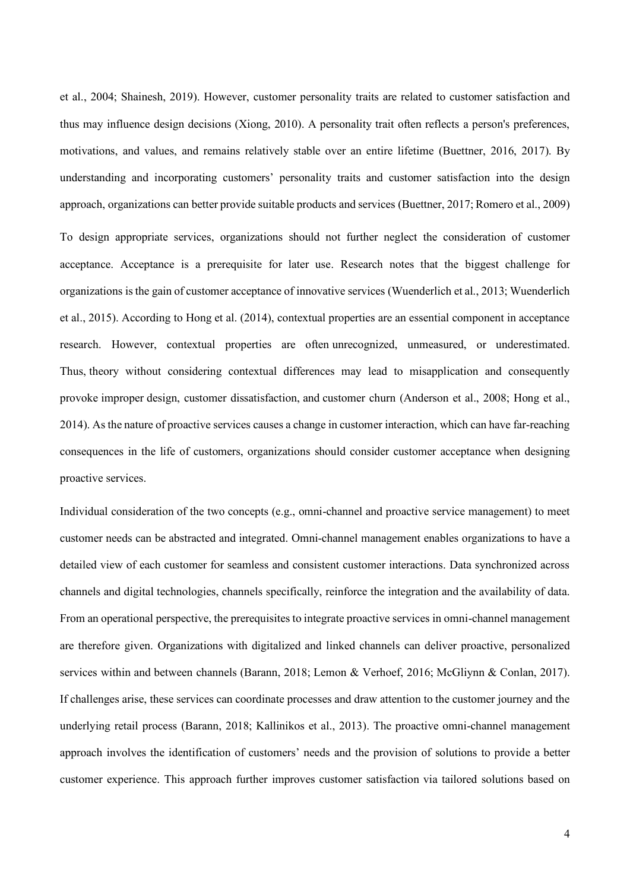et al., 2004; Shainesh, 2019). However, customer personality traits are related to customer satisfaction and thus may influence design decisions (Xiong, 2010). A personality trait often reflects a person's preferences, motivations, and values, and remains relatively stable over an entire lifetime (Buettner, 2016, 2017). By understanding and incorporating customers' personality traits and customer satisfaction into the design approach, organizations can better provide suitable products and services (Buettner, 2017; Romero et al., 2009) To design appropriate services, organizations should not further neglect the consideration of customer acceptance. Acceptance is a prerequisite for later use. Research notes that the biggest challenge for organizations is the gain of customer acceptance of innovative services (Wuenderlich et al., 2013; Wuenderlich et al., 2015). According to Hong et al. (2014), contextual properties are an essential component in acceptance research. However, contextual properties are often unrecognized, unmeasured, or underestimated. Thus, theory without considering contextual differences may lead to misapplication and consequently provoke improper design, customer dissatisfaction, and customer churn (Anderson et al., 2008; Hong et al., 2014). As the nature of proactive services causes a change in customer interaction, which can have far-reaching consequences in the life of customers, organizations should consider customer acceptance when designing proactive services.

Individual consideration of the two concepts (e.g., omni-channel and proactive service management) to meet customer needs can be abstracted and integrated. Omni-channel management enables organizations to have a detailed view of each customer for seamless and consistent customer interactions. Data synchronized across channels and digital technologies, channels specifically, reinforce the integration and the availability of data. From an operational perspective, the prerequisites to integrate proactive services in omni-channel management are therefore given. Organizations with digitalized and linked channels can deliver proactive, personalized services within and between channels (Barann, 2018; Lemon & Verhoef, 2016; McGliynn & Conlan, 2017). If challenges arise, these services can coordinate processes and draw attention to the customer journey and the underlying retail process (Barann, 2018; Kallinikos et al., 2013). The proactive omni-channel management approach involves the identification of customers' needs and the provision of solutions to provide a better customer experience. This approach further improves customer satisfaction via tailored solutions based on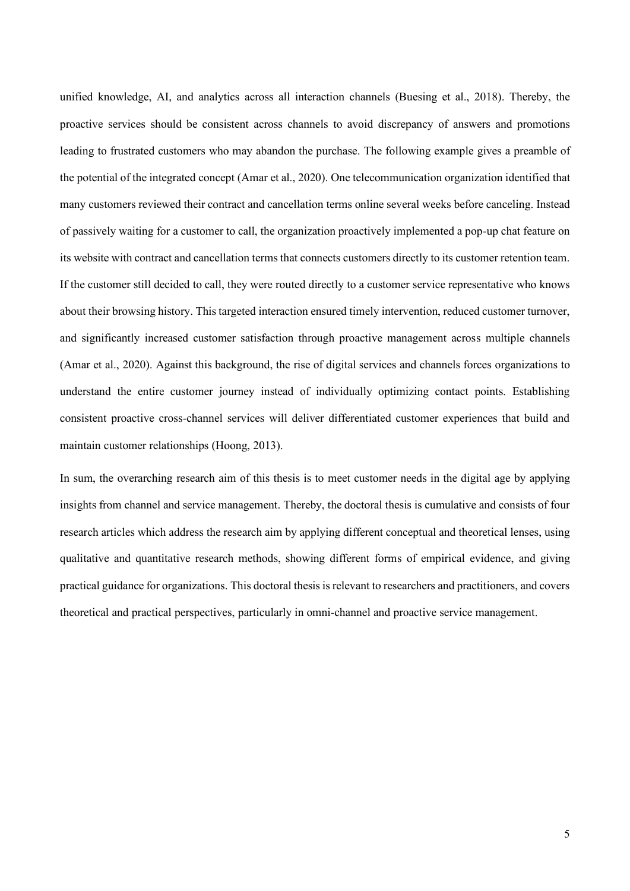unified knowledge, AI, and analytics across all interaction channels (Buesing et al., 2018). Thereby, the proactive services should be consistent across channels to avoid discrepancy of answers and promotions leading to frustrated customers who may abandon the purchase. The following example gives a preamble of the potential of the integrated concept (Amar et al., 2020). One telecommunication organization identified that many customers reviewed their contract and cancellation terms online several weeks before canceling. Instead of passively waiting for a customer to call, the organization proactively implemented a pop-up chat feature on its website with contract and cancellation terms that connects customers directly to its customer retention team. If the customer still decided to call, they were routed directly to a customer service representative who knows about their browsing history. This targeted interaction ensured timely intervention, reduced customer turnover, and significantly increased customer satisfaction through proactive management across multiple channels (Amar et al., 2020). Against this background, the rise of digital services and channels forces organizations to understand the entire customer journey instead of individually optimizing contact points. Establishing consistent proactive cross-channel services will deliver differentiated customer experiences that build and maintain customer relationships (Hoong, 2013).

In sum, the overarching research aim of this thesis is to meet customer needs in the digital age by applying insights from channel and service management. Thereby, the doctoral thesis is cumulative and consists of four research articles which address the research aim by applying different conceptual and theoretical lenses, using qualitative and quantitative research methods, showing different forms of empirical evidence, and giving practical guidance for organizations. This doctoral thesis is relevant to researchers and practitioners, and covers theoretical and practical perspectives, particularly in omni-channel and proactive service management.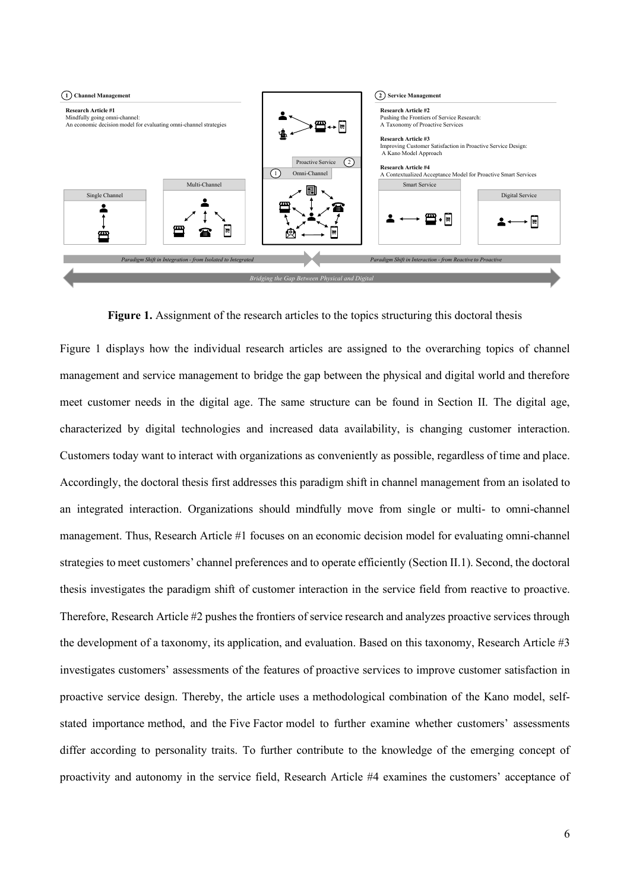

**Figure 1.** Assignment of the research articles to the topics structuring this doctoral thesis

Figure 1 displays how the individual research articles are assigned to the overarching topics of channel management and service management to bridge the gap between the physical and digital world and therefore meet customer needs in the digital age. The same structure can be found in Section II. The digital age, characterized by digital technologies and increased data availability, is changing customer interaction. Customers today want to interact with organizations as conveniently as possible, regardless of time and place. Accordingly, the doctoral thesis first addresses this paradigm shift in channel management from an isolated to an integrated interaction. Organizations should mindfully move from single or multi- to omni-channel management. Thus, Research Article #1 focuses on an economic decision model for evaluating omni-channel strategies to meet customers' channel preferences and to operate efficiently (Section II.1). Second, the doctoral thesis investigates the paradigm shift of customer interaction in the service field from reactive to proactive. Therefore, Research Article #2 pushes the frontiers of service research and analyzes proactive services through the development of a taxonomy, its application, and evaluation. Based on this taxonomy, Research Article #3 investigates customers' assessments of the features of proactive services to improve customer satisfaction in proactive service design. Thereby, the article uses a methodological combination of the Kano model, selfstated importance method, and the Five Factor model to further examine whether customers' assessments differ according to personality traits. To further contribute to the knowledge of the emerging concept of proactivity and autonomy in the service field, Research Article #4 examines the customers' acceptance of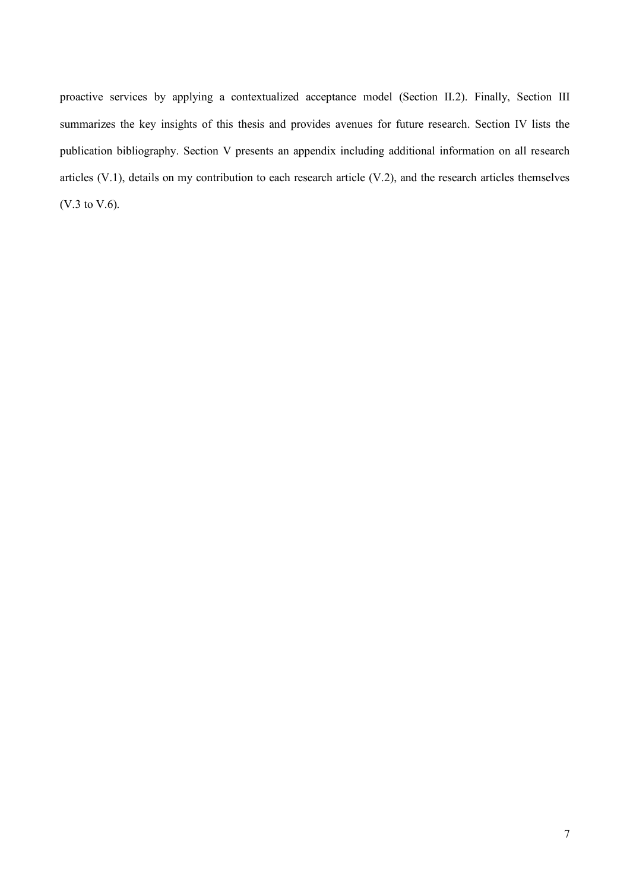proactive services by applying a contextualized acceptance model (Section II.2). Finally, Section III summarizes the key insights of this thesis and provides avenues for future research. Section IV lists the publication bibliography. Section V presents an appendix including additional information on all research articles (V.1), details on my contribution to each research article (V.2), and the research articles themselves (V.3 to V.6).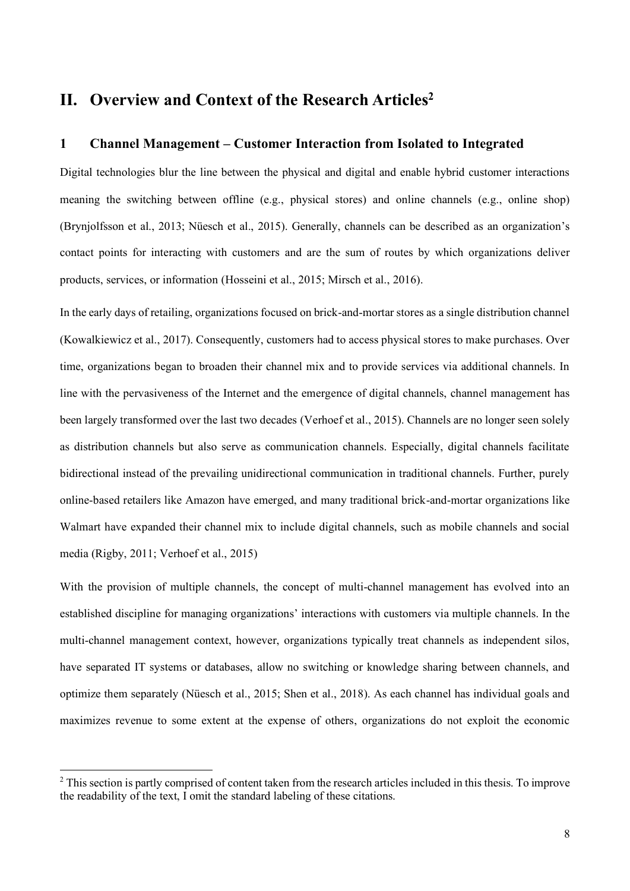### <span id="page-13-0"></span>**II. Overview and Context of the Research Articles<sup>2</sup>**

#### <span id="page-13-1"></span>**1 Channel Management – Customer Interaction from Isolated to Integrated**

Digital technologies blur the line between the physical and digital and enable hybrid customer interactions meaning the switching between offline (e.g., physical stores) and online channels (e.g., online shop) (Brynjolfsson et al., 2013; Nüesch et al., 2015). Generally, channels can be described as an organization's contact points for interacting with customers and are the sum of routes by which organizations deliver products, services, or information (Hosseini et al., 2015; Mirsch et al., 2016).

In the early days of retailing, organizations focused on brick-and-mortar stores as a single distribution channel (Kowalkiewicz et al., 2017). Consequently, customers had to access physical stores to make purchases. Over time, organizations began to broaden their channel mix and to provide services via additional channels. In line with the pervasiveness of the Internet and the emergence of digital channels, channel management has been largely transformed over the last two decades (Verhoef et al., 2015). Channels are no longer seen solely as distribution channels but also serve as communication channels. Especially, digital channels facilitate bidirectional instead of the prevailing unidirectional communication in traditional channels. Further, purely online-based retailers like Amazon have emerged, and many traditional brick-and-mortar organizations like Walmart have expanded their channel mix to include digital channels, such as mobile channels and social media (Rigby, 2011; Verhoef et al., 2015)

With the provision of multiple channels, the concept of multi-channel management has evolved into an established discipline for managing organizations' interactions with customers via multiple channels. In the multi-channel management context, however, organizations typically treat channels as independent silos, have separated IT systems or databases, allow no switching or knowledge sharing between channels, and optimize them separately (Nüesch et al., 2015; Shen et al., 2018). As each channel has individual goals and maximizes revenue to some extent at the expense of others, organizations do not exploit the economic

 $2$  This section is partly comprised of content taken from the research articles included in this thesis. To improve the readability of the text, I omit the standard labeling of these citations.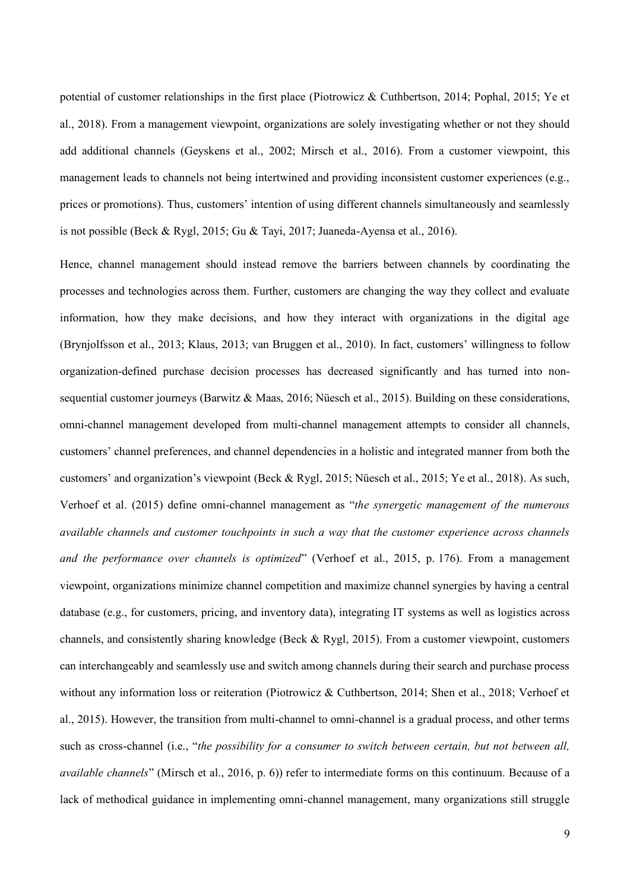potential of customer relationships in the first place (Piotrowicz & Cuthbertson, 2014; Pophal, 2015; Ye et al., 2018). From a management viewpoint, organizations are solely investigating whether or not they should add additional channels (Geyskens et al., 2002; Mirsch et al., 2016). From a customer viewpoint, this management leads to channels not being intertwined and providing inconsistent customer experiences (e.g., prices or promotions). Thus, customers' intention of using different channels simultaneously and seamlessly is not possible (Beck & Rygl, 2015; Gu & Tayi, 2017; Juaneda-Ayensa et al., 2016).

Hence, channel management should instead remove the barriers between channels by coordinating the processes and technologies across them. Further, customers are changing the way they collect and evaluate information, how they make decisions, and how they interact with organizations in the digital age (Brynjolfsson et al., 2013; Klaus, 2013; van Bruggen et al., 2010). In fact, customers' willingness to follow organization-defined purchase decision processes has decreased significantly and has turned into nonsequential customer journeys (Barwitz & Maas, 2016; Nüesch et al., 2015). Building on these considerations, omni-channel management developed from multi-channel management attempts to consider all channels, customers' channel preferences, and channel dependencies in a holistic and integrated manner from both the customers' and organization's viewpoint (Beck & Rygl, 2015; Nüesch et al., 2015; Ye et al., 2018). As such, Verhoef et al. (2015) define omni-channel management as "*the synergetic management of the numerous available channels and customer touchpoints in such a way that the customer experience across channels and the performance over channels is optimized*" (Verhoef et al., 2015, p. 176). From a management viewpoint, organizations minimize channel competition and maximize channel synergies by having a central database (e.g., for customers, pricing, and inventory data), integrating IT systems as well as logistics across channels, and consistently sharing knowledge (Beck & Rygl, 2015). From a customer viewpoint, customers can interchangeably and seamlessly use and switch among channels during their search and purchase process without any information loss or reiteration (Piotrowicz & Cuthbertson, 2014; Shen et al., 2018; Verhoef et al., 2015). However, the transition from multi-channel to omni-channel is a gradual process, and other terms such as cross-channel (i.e., "*the possibility for a consumer to switch between certain, but not between all, available channels*" (Mirsch et al., 2016, p. 6)) refer to intermediate forms on this continuum. Because of a lack of methodical guidance in implementing omni-channel management, many organizations still struggle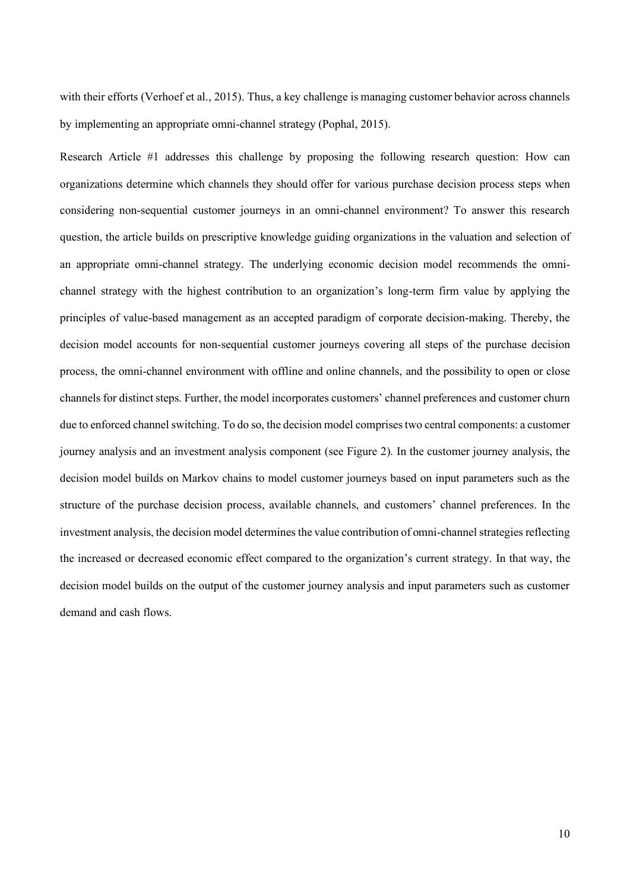with their efforts (Verhoef et al., 2015). Thus, a key challenge is managing customer behavior across channels by implementing an appropriate omni-channel strategy (Pophal, 2015).

Research Article #1 addresses this challenge by proposing the following research question: How can organizations determine which channels they should offer for various purchase decision process steps when considering non-sequential customer journeys in an omni-channel environment? To answer this research question, the article builds on prescriptive knowledge guiding organizations in the valuation and selection of an appropriate omni-channel strategy. The underlying economic decision model recommends the omnichannel strategy with the highest contribution to an organization's long-term firm value by applying the principles of value-based management as an accepted paradigm of corporate decision-making. Thereby, the decision model accounts for non-sequential customer journeys covering all steps of the purchase decision process, the omni-channel environment with offline and online channels, and the possibility to open or close channels for distinct steps. Further, the model incorporates customers' channel preferences and customer churn due to enforced channel switching. To do so, the decision model comprises two central components: a customer journey analysis and an investment analysis component (see Figure 2). In the customer journey analysis, the decision model builds on Markov chains to model customer journeys based on input parameters such as the structure of the purchase decision process, available channels, and customers' channel preferences. In the investment analysis, the decision model determines the value contribution of omni-channel strategies reflecting the increased or decreased economic effect compared to the organization's current strategy. In that way, the decision model builds on the output of the customer journey analysis and input parameters such as customer demand and cash flows.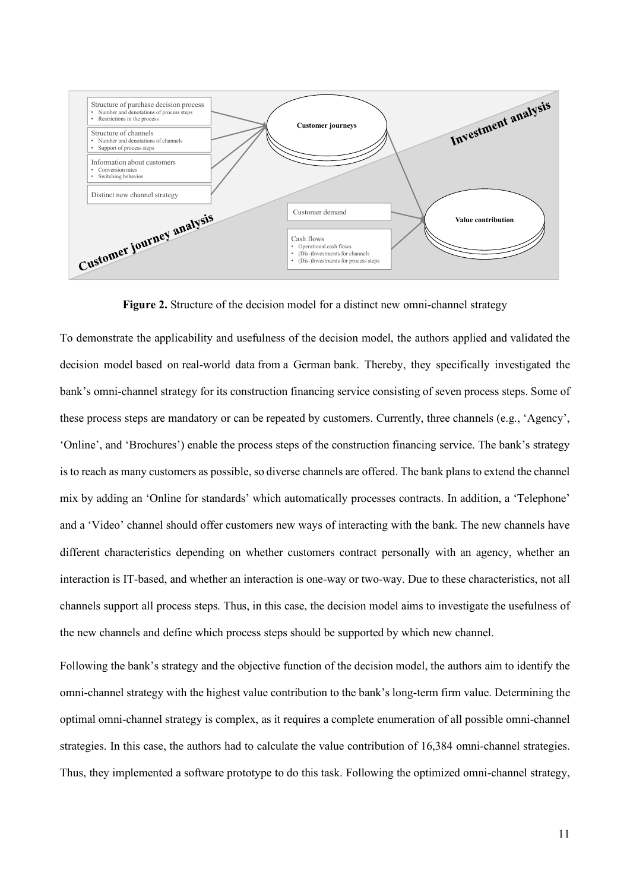

**Figure 2.** Structure of the decision model for a distinct new omni-channel strategy

To demonstrate the applicability and usefulness of the decision model, the authors applied and validated the decision model based on real-world data from a German bank. Thereby, they specifically investigated the bank's omni-channel strategy for its construction financing service consisting of seven process steps. Some of these process steps are mandatory or can be repeated by customers. Currently, three channels (e.g., 'Agency', 'Online', and 'Brochures') enable the process steps of the construction financing service. The bank's strategy is to reach as many customers as possible, so diverse channels are offered. The bank plans to extend the channel mix by adding an 'Online for standards' which automatically processes contracts. In addition, a 'Telephone' and a 'Video' channel should offer customers new ways of interacting with the bank. The new channels have different characteristics depending on whether customers contract personally with an agency, whether an interaction is IT-based, and whether an interaction is one-way or two-way. Due to these characteristics, not all channels support all process steps. Thus, in this case, the decision model aims to investigate the usefulness of the new channels and define which process steps should be supported by which new channel.

Following the bank's strategy and the objective function of the decision model, the authors aim to identify the omni-channel strategy with the highest value contribution to the bank's long-term firm value. Determining the optimal omni-channel strategy is complex, as it requires a complete enumeration of all possible omni-channel strategies. In this case, the authors had to calculate the value contribution of 16,384 omni-channel strategies. Thus, they implemented a software prototype to do this task. Following the optimized omni-channel strategy,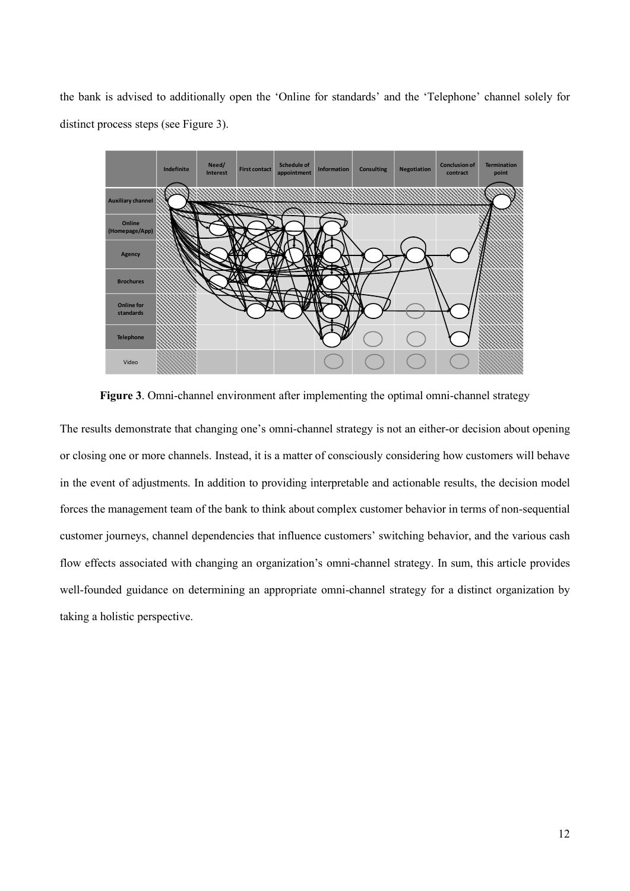the bank is advised to additionally open the 'Online for standards' and the 'Telephone' channel solely for distinct process steps (see Figure 3).



**Figure 3**. Omni-channel environment after implementing the optimal omni-channel strategy

The results demonstrate that changing one's omni-channel strategy is not an either-or decision about opening or closing one or more channels. Instead, it is a matter of consciously considering how customers will behave in the event of adjustments. In addition to providing interpretable and actionable results, the decision model forces the management team of the bank to think about complex customer behavior in terms of non-sequential customer journeys, channel dependencies that influence customers' switching behavior, and the various cash flow effects associated with changing an organization's omni-channel strategy. In sum, this article provides well-founded guidance on determining an appropriate omni-channel strategy for a distinct organization by taking a holistic perspective.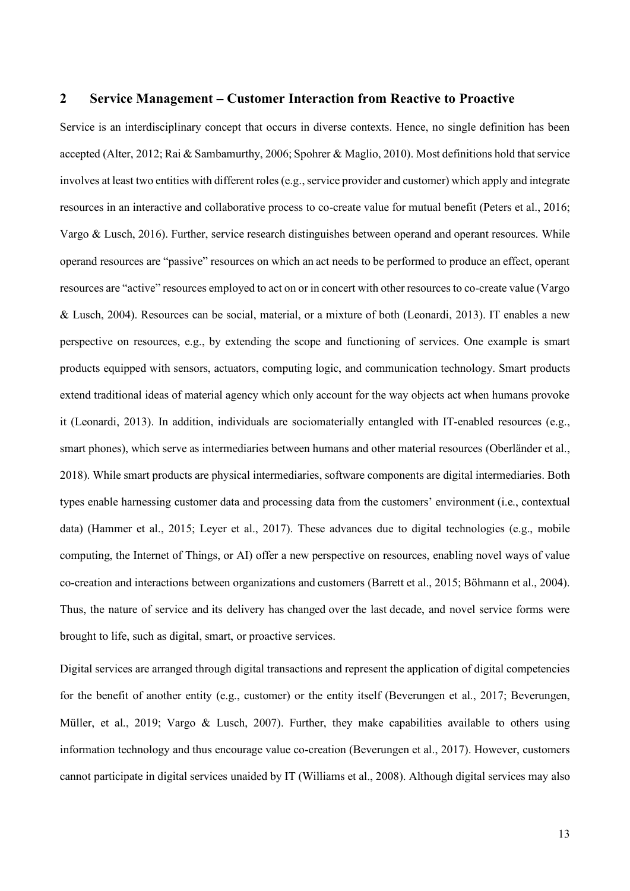#### <span id="page-18-0"></span>**2 Service Management – Customer Interaction from Reactive to Proactive**

Service is an interdisciplinary concept that occurs in diverse contexts. Hence, no single definition has been accepted (Alter, 2012; Rai & Sambamurthy, 2006; Spohrer & Maglio, 2010). Most definitions hold that service involves at least two entities with different roles (e.g., service provider and customer) which apply and integrate resources in an interactive and collaborative process to co-create value for mutual benefit (Peters et al., 2016; Vargo & Lusch, 2016). Further, service research distinguishes between operand and operant resources. While operand resources are "passive" resources on which an act needs to be performed to produce an effect, operant resources are "active" resources employed to act on or in concert with other resources to co-create value (Vargo & Lusch, 2004). Resources can be social, material, or a mixture of both (Leonardi, 2013). IT enables a new perspective on resources, e.g., by extending the scope and functioning of services. One example is smart products equipped with sensors, actuators, computing logic, and communication technology. Smart products extend traditional ideas of material agency which only account for the way objects act when humans provoke it (Leonardi, 2013). In addition, individuals are sociomaterially entangled with IT-enabled resources (e.g., smart phones), which serve as intermediaries between humans and other material resources (Oberländer et al., 2018). While smart products are physical intermediaries, software components are digital intermediaries. Both types enable harnessing customer data and processing data from the customers' environment (i.e., contextual data) (Hammer et al., 2015; Leyer et al., 2017). These advances due to digital technologies (e.g., mobile computing, the Internet of Things, or AI) offer a new perspective on resources, enabling novel ways of value co-creation and interactions between organizations and customers (Barrett et al., 2015; Böhmann et al., 2004). Thus, the nature of service and its delivery has changed over the last decade, and novel service forms were brought to life, such as digital, smart, or proactive services.

Digital services are arranged through digital transactions and represent the application of digital competencies for the benefit of another entity (e.g., customer) or the entity itself (Beverungen et al., 2017; Beverungen, Müller, et al., 2019; Vargo & Lusch, 2007). Further, they make capabilities available to others using information technology and thus encourage value co-creation (Beverungen et al., 2017). However, customers cannot participate in digital services unaided by IT (Williams et al., 2008). Although digital services may also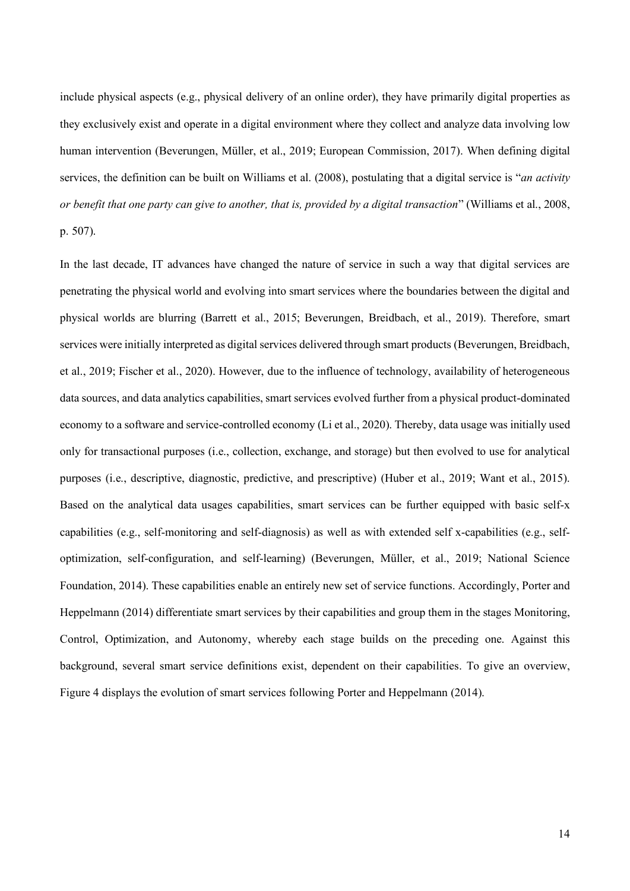include physical aspects (e.g., physical delivery of an online order), they have primarily digital properties as they exclusively exist and operate in a digital environment where they collect and analyze data involving low human intervention (Beverungen, Müller, et al., 2019; European Commission, 2017). When defining digital services, the definition can be built on Williams et al. (2008), postulating that a digital service is "*an activity or benefit that one party can give to another, that is, provided by a digital transaction*" (Williams et al., 2008, p. 507).

In the last decade, IT advances have changed the nature of service in such a way that digital services are penetrating the physical world and evolving into smart services where the boundaries between the digital and physical worlds are blurring (Barrett et al., 2015; Beverungen, Breidbach, et al., 2019). Therefore, smart services were initially interpreted as digital services delivered through smart products (Beverungen, Breidbach, et al., 2019; Fischer et al., 2020). However, due to the influence of technology, availability of heterogeneous data sources, and data analytics capabilities, smart services evolved further from a physical product-dominated economy to a software and service-controlled economy (Li et al., 2020). Thereby, data usage was initially used only for transactional purposes (i.e., collection, exchange, and storage) but then evolved to use for analytical purposes (i.e., descriptive, diagnostic, predictive, and prescriptive) (Huber et al., 2019; Want et al., 2015). Based on the analytical data usages capabilities, smart services can be further equipped with basic self-x capabilities (e.g., self-monitoring and self-diagnosis) as well as with extended self x-capabilities (e.g., selfoptimization, self-configuration, and self-learning) (Beverungen, Müller, et al., 2019; National Science Foundation, 2014). These capabilities enable an entirely new set of service functions. Accordingly, Porter and Heppelmann (2014) differentiate smart services by their capabilities and group them in the stages Monitoring, Control, Optimization, and Autonomy, whereby each stage builds on the preceding one. Against this background, several smart service definitions exist, dependent on their capabilities. To give an overview, Figure 4 displays the evolution of smart services following Porter and Heppelmann (2014).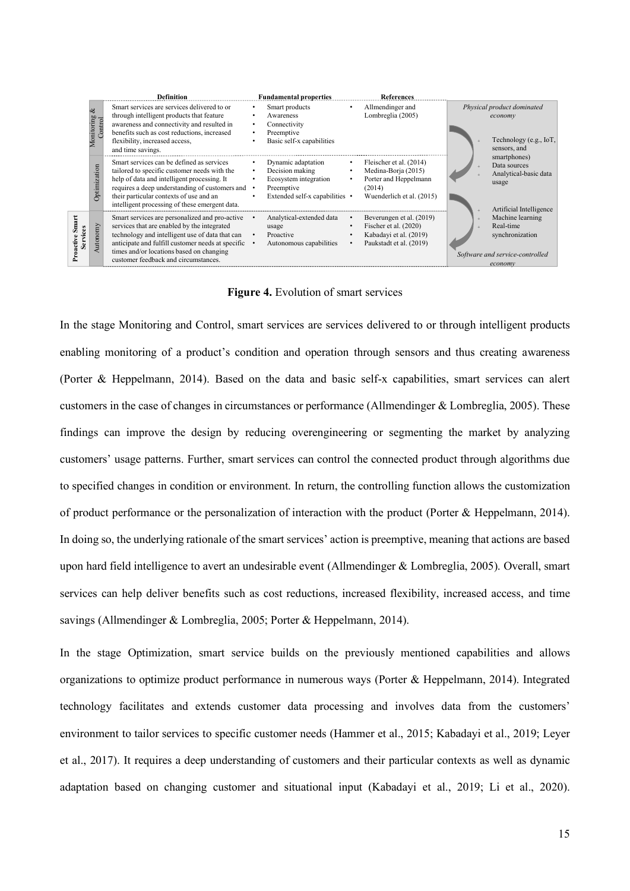|          |                                  | <b>Definition</b>                                                                                                                                                                                                                                                                           | <b>Fundamental properties</b>                                                                                               |   | References                                                                                                     |                                       |                                                                                                |
|----------|----------------------------------|---------------------------------------------------------------------------------------------------------------------------------------------------------------------------------------------------------------------------------------------------------------------------------------------|-----------------------------------------------------------------------------------------------------------------------------|---|----------------------------------------------------------------------------------------------------------------|---------------------------------------|------------------------------------------------------------------------------------------------|
|          | $\infty$<br>Monitoring<br>ontrol | Smart services are services delivered to or<br>through intelligent products that feature<br>awareness and connectivity and resulted in<br>benefits such as cost reductions, increased<br>flexibility, increased access,<br>and time savings.                                                | Smart products<br>Awareness<br>Connectivity<br>٠<br>Preemptive<br>$\bullet$<br>Basic self-x capabilities                    | ٠ | Allmendinger and<br>Lombreglia (2005)                                                                          | Physical product dominated<br>economy | Technology (e.g., IoT,<br>sensors, and                                                         |
|          | Optimization                     | Smart services can be defined as services<br>tailored to specific customer needs with the<br>help of data and intelligent processing. It<br>requires a deep understanding of customers and •<br>their particular contexts of use and an<br>intelligent processing of these emergent data.   | Dynamic adaptation<br>Decision making<br>$\bullet$<br>Ecosystem integration<br>Preemptive<br>Extended self-x capabilities • |   | Fleischer et al. (2014)<br>Medina-Borja (2015)<br>Porter and Heppelmann<br>(2014)<br>Wuenderlich et al. (2015) |                                       | smartphones)<br>Data sources<br>Analytical-basic data<br>usage<br>Artificial Intelligence      |
| Services | Autonomy                         | Smart services are personalized and pro-active<br>services that are enabled by the integrated<br>technology and intelligent use of data that can<br>anticipate and fulfill customer needs at specific •<br>times and/or locations based on changing<br>customer feedback and circumstances. | Analytical-extended data<br>usage<br>Proactive<br>$\bullet$<br>Autonomous capabilities                                      |   | Beverungen et al. (2019)<br>Fischer et al. (2020)<br>Kabadayi et al. (2019)<br>Paukstadt et al. (2019)         |                                       | Machine learning<br>Real-time<br>synchronization<br>Software and service-controlled<br>economy |

**Figure 4.** Evolution of smart services

In the stage Monitoring and Control, smart services are services delivered to or through intelligent products enabling monitoring of a product's condition and operation through sensors and thus creating awareness (Porter & Heppelmann, 2014). Based on the data and basic self-x capabilities, smart services can alert customers in the case of changes in circumstances or performance (Allmendinger & Lombreglia, 2005). These findings can improve the design by reducing overengineering or segmenting the market by analyzing customers' usage patterns. Further, smart services can control the connected product through algorithms due to specified changes in condition or environment. In return, the controlling function allows the customization of product performance or the personalization of interaction with the product (Porter & Heppelmann, 2014). In doing so, the underlying rationale of the smart services' action is preemptive, meaning that actions are based upon hard field intelligence to avert an undesirable event (Allmendinger & Lombreglia, 2005). Overall, smart services can help deliver benefits such as cost reductions, increased flexibility, increased access, and time savings (Allmendinger & Lombreglia, 2005; Porter & Heppelmann, 2014). and the stage of the method of the smart services of a propose on the stage of the stage of the stage Musik increases on the stage of the stage of the stage of the stage of the stage of the stage of the stage of the stage

In the stage Optimization, smart service builds on the previously mentioned capabilities and allows organizations to optimize product performance in numerous ways (Porter & Heppelmann, 2014). Integrated technology facilitates and extends customer data processing and involves data from the customers' environment to tailor services to specific customer needs (Hammer et al., 2015; Kabadayi et al., 2019; Leyer et al., 2017). It requires a deep understanding of customers and their particular contexts as well as dynamic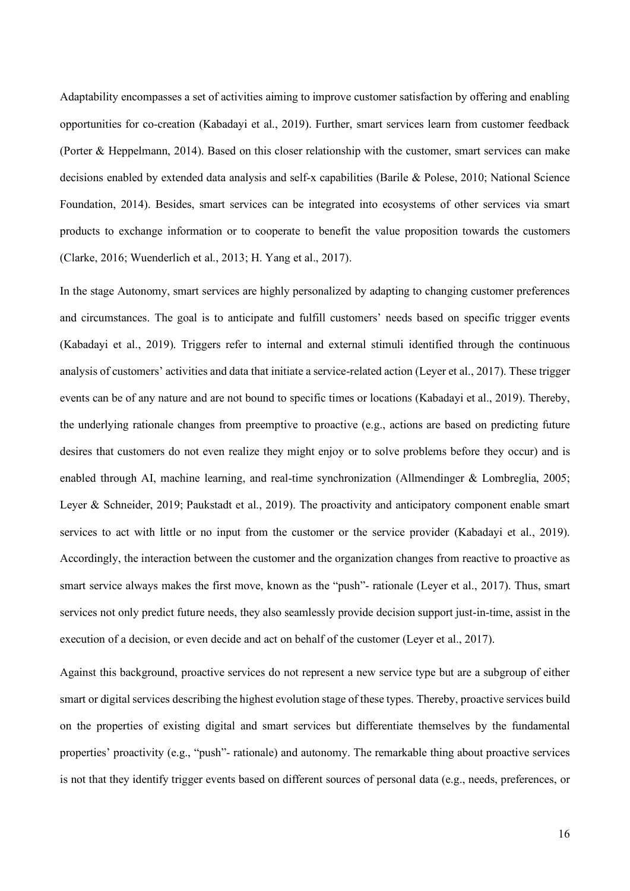Adaptability encompasses a set of activities aiming to improve customer satisfaction by offering and enabling opportunities for co-creation (Kabadayi et al., 2019). Further, smart services learn from customer feedback (Porter & Heppelmann, 2014). Based on this closer relationship with the customer, smart services can make decisions enabled by extended data analysis and self-x capabilities (Barile & Polese, 2010; National Science Foundation, 2014). Besides, smart services can be integrated into ecosystems of other services via smart products to exchange information or to cooperate to benefit the value proposition towards the customers (Clarke, 2016; Wuenderlich et al., 2013; H. Yang et al., 2017).

In the stage Autonomy, smart services are highly personalized by adapting to changing customer preferences and circumstances. The goal is to anticipate and fulfill customers' needs based on specific trigger events (Kabadayi et al., 2019). Triggers refer to internal and external stimuli identified through the continuous analysis of customers' activities and data that initiate a service-related action (Leyer et al., 2017). These trigger events can be of any nature and are not bound to specific times or locations (Kabadayi et al., 2019). Thereby, the underlying rationale changes from preemptive to proactive (e.g., actions are based on predicting future desires that customers do not even realize they might enjoy or to solve problems before they occur) and is enabled through AI, machine learning, and real-time synchronization (Allmendinger & Lombreglia, 2005; Leyer & Schneider, 2019; Paukstadt et al., 2019). The proactivity and anticipatory component enable smart services to act with little or no input from the customer or the service provider (Kabadayi et al., 2019). Accordingly, the interaction between the customer and the organization changes from reactive to proactive as smart service always makes the first move, known as the "push"- rationale (Leyer et al., 2017). Thus, smart services not only predict future needs, they also seamlessly provide decision support just-in-time, assist in the execution of a decision, or even decide and act on behalf of the customer (Leyer et al., 2017).

Against this background, proactive services do not represent a new service type but are a subgroup of either smart or digital services describing the highest evolution stage of these types. Thereby, proactive services build on the properties of existing digital and smart services but differentiate themselves by the fundamental properties' proactivity (e.g., "push"- rationale) and autonomy. The remarkable thing about proactive services is not that they identify trigger events based on different sources of personal data (e.g., needs, preferences, or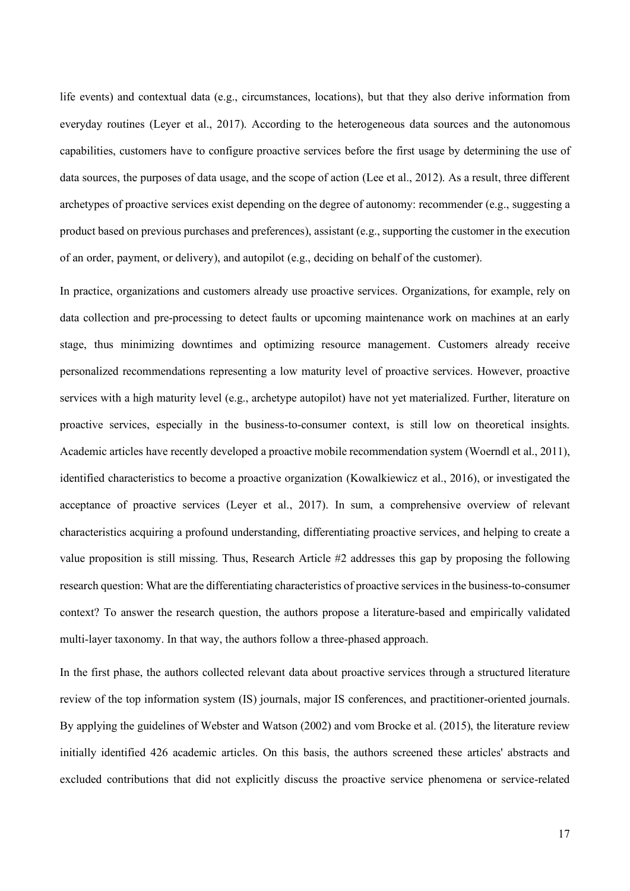life events) and contextual data (e.g., circumstances, locations), but that they also derive information from everyday routines (Leyer et al., 2017). According to the heterogeneous data sources and the autonomous capabilities, customers have to configure proactive services before the first usage by determining the use of data sources, the purposes of data usage, and the scope of action (Lee et al., 2012). As a result, three different archetypes of proactive services exist depending on the degree of autonomy: recommender (e.g., suggesting a product based on previous purchases and preferences), assistant (e.g., supporting the customer in the execution of an order, payment, or delivery), and autopilot (e.g., deciding on behalf of the customer).

In practice, organizations and customers already use proactive services. Organizations, for example, rely on data collection and pre-processing to detect faults or upcoming maintenance work on machines at an early stage, thus minimizing downtimes and optimizing resource management. Customers already receive personalized recommendations representing a low maturity level of proactive services. However, proactive services with a high maturity level (e.g., archetype autopilot) have not yet materialized. Further, literature on proactive services, especially in the business-to-consumer context, is still low on theoretical insights. Academic articles have recently developed a proactive mobile recommendation system (Woerndl et al., 2011), identified characteristics to become a proactive organization (Kowalkiewicz et al., 2016), or investigated the acceptance of proactive services (Leyer et al., 2017). In sum, a comprehensive overview of relevant characteristics acquiring a profound understanding, differentiating proactive services, and helping to create a value proposition is still missing. Thus, Research Article #2 addresses this gap by proposing the following research question: What are the differentiating characteristics of proactive services in the business-to-consumer context? To answer the research question, the authors propose a literature-based and empirically validated multi-layer taxonomy. In that way, the authors follow a three-phased approach.

In the first phase, the authors collected relevant data about proactive services through a structured literature review of the top information system (IS) journals, major IS conferences, and practitioner-oriented journals. By applying the guidelines of Webster and Watson (2002) and vom Brocke et al. (2015), the literature review initially identified 426 academic articles. On this basis, the authors screened these articles' abstracts and excluded contributions that did not explicitly discuss the proactive service phenomena or service-related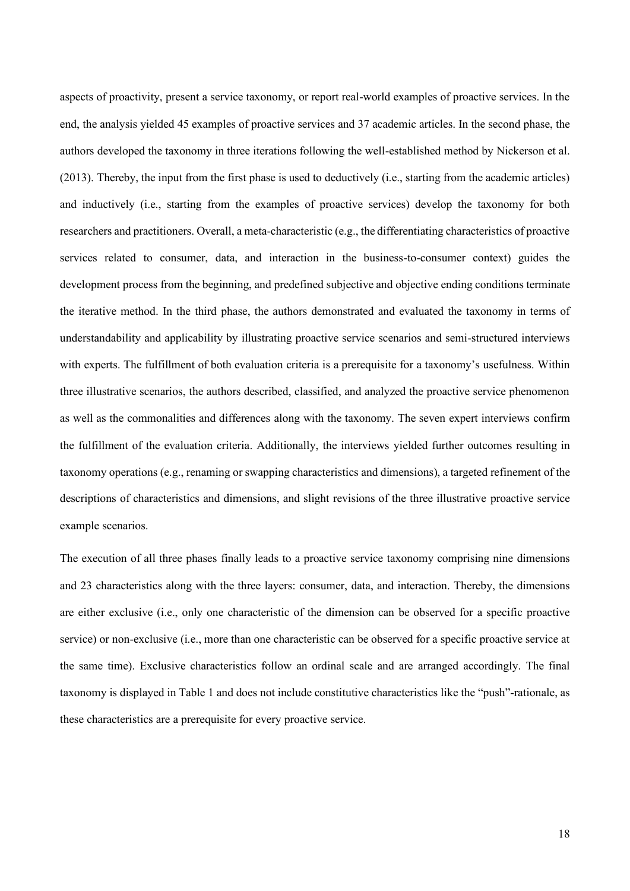aspects of proactivity, present a service taxonomy, or report real-world examples of proactive services. In the end, the analysis yielded 45 examples of proactive services and 37 academic articles. In the second phase, the authors developed the taxonomy in three iterations following the well-established method by Nickerson et al. (2013). Thereby, the input from the first phase is used to deductively (i.e., starting from the academic articles) and inductively (i.e., starting from the examples of proactive services) develop the taxonomy for both researchers and practitioners. Overall, a meta-characteristic (e.g., the differentiating characteristics of proactive services related to consumer, data, and interaction in the business-to-consumer context) guides the development process from the beginning, and predefined subjective and objective ending conditions terminate the iterative method. In the third phase, the authors demonstrated and evaluated the taxonomy in terms of understandability and applicability by illustrating proactive service scenarios and semi-structured interviews with experts. The fulfillment of both evaluation criteria is a prerequisite for a taxonomy's usefulness. Within three illustrative scenarios, the authors described, classified, and analyzed the proactive service phenomenon as well as the commonalities and differences along with the taxonomy. The seven expert interviews confirm the fulfillment of the evaluation criteria. Additionally, the interviews yielded further outcomes resulting in taxonomy operations (e.g., renaming or swapping characteristics and dimensions), a targeted refinement of the descriptions of characteristics and dimensions, and slight revisions of the three illustrative proactive service example scenarios.

The execution of all three phases finally leads to a proactive service taxonomy comprising nine dimensions and 23 characteristics along with the three layers: consumer, data, and interaction. Thereby, the dimensions are either exclusive (i.e., only one characteristic of the dimension can be observed for a specific proactive service) or non-exclusive (i.e., more than one characteristic can be observed for a specific proactive service at the same time). Exclusive characteristics follow an ordinal scale and are arranged accordingly. The final taxonomy is displayed in Table 1 and does not include constitutive characteristics like the "push"-rationale, as these characteristics are a prerequisite for every proactive service.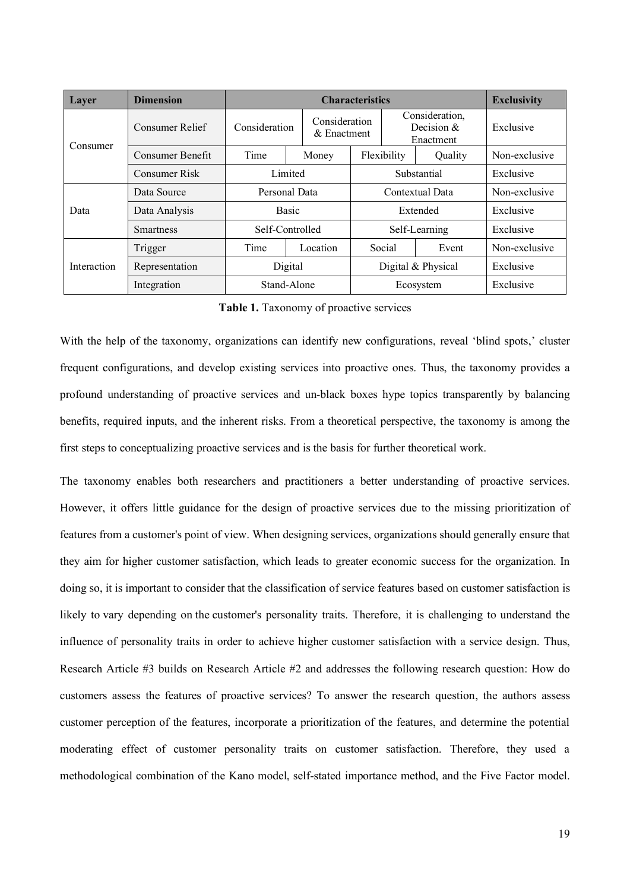| Layer       | <b>Dimension</b> | <b>Characteristics</b>                        |           |                    |               |                                             | <b>Exclusivity</b> |
|-------------|------------------|-----------------------------------------------|-----------|--------------------|---------------|---------------------------------------------|--------------------|
| Consumer    | Consumer Relief  | Consideration<br>Consideration<br>& Enactment |           |                    |               | Consideration.<br>Decision $&$<br>Enactment | Exclusive          |
|             | Consumer Benefit | Time                                          | Money     |                    | Flexibility   | Quality                                     | Non-exclusive      |
|             | Consumer Risk    | Limited                                       |           | Substantial        | Exclusive     |                                             |                    |
|             | Data Source      | Personal Data                                 |           |                    |               | Contextual Data                             | Non-exclusive      |
| Data        | Data Analysis    | <b>Basic</b>                                  |           |                    | Extended      |                                             | Exclusive          |
|             | <b>Smartness</b> | Self-Controlled                               |           |                    | Self-Learning | Exclusive                                   |                    |
|             | Trigger          | Time                                          | Location  |                    | Social        | Event                                       | Non-exclusive      |
| Interaction | Representation   | Digital                                       |           | Digital & Physical |               | Exclusive                                   |                    |
|             | Integration      | Stand-Alone                                   | Ecosystem |                    |               | Exclusive                                   |                    |

**Table 1.** Taxonomy of proactive services

With the help of the taxonomy, organizations can identify new configurations, reveal 'blind spots,' cluster frequent configurations, and develop existing services into proactive ones. Thus, the taxonomy provides a profound understanding of proactive services and un-black boxes hype topics transparently by balancing benefits, required inputs, and the inherent risks. From a theoretical perspective, the taxonomy is among the first steps to conceptualizing proactive services and is the basis for further theoretical work.

The taxonomy enables both researchers and practitioners a better understanding of proactive services. However, it offers little guidance for the design of proactive services due to the missing prioritization of features from a customer's point of view. When designing services, organizations should generally ensure that they aim for higher customer satisfaction, which leads to greater economic success for the organization. In doing so, it is important to consider that the classification of service features based on customer satisfaction is likely to vary depending on the customer's personality traits. Therefore, it is challenging to understand the influence of personality traits in order to achieve higher customer satisfaction with a service design. Thus, Research Article #3 builds on Research Article #2 and addresses the following research question: How do customers assess the features of proactive services? To answer the research question, the authors assess customer perception of the features, incorporate a prioritization of the features, and determine the potential moderating effect of customer personality traits on customer satisfaction. Therefore, they used a methodological combination of the Kano model, self-stated importance method, and the Five Factor model.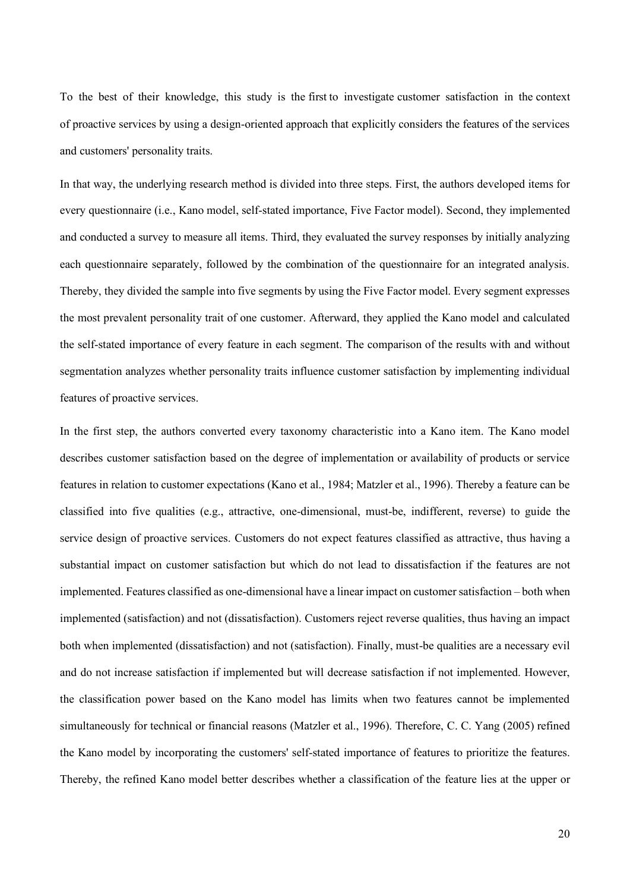To the best of their knowledge, this study is the first to investigate customer satisfaction in the context of proactive services by using a design-oriented approach that explicitly considers the features of the services and customers' personality traits.

In that way, the underlying research method is divided into three steps. First, the authors developed items for every questionnaire (i.e., Kano model, self-stated importance, Five Factor model). Second, they implemented and conducted a survey to measure all items. Third, they evaluated the survey responses by initially analyzing each questionnaire separately, followed by the combination of the questionnaire for an integrated analysis. Thereby, they divided the sample into five segments by using the Five Factor model. Every segment expresses the most prevalent personality trait of one customer. Afterward, they applied the Kano model and calculated the self-stated importance of every feature in each segment. The comparison of the results with and without segmentation analyzes whether personality traits influence customer satisfaction by implementing individual features of proactive services.

In the first step, the authors converted every taxonomy characteristic into a Kano item. The Kano model describes customer satisfaction based on the degree of implementation or availability of products or service features in relation to customer expectations (Kano et al., 1984; Matzler et al., 1996). Thereby a feature can be classified into five qualities (e.g., attractive, one-dimensional, must-be, indifferent, reverse) to guide the service design of proactive services. Customers do not expect features classified as attractive, thus having a substantial impact on customer satisfaction but which do not lead to dissatisfaction if the features are not implemented. Features classified as one-dimensional have a linear impact on customer satisfaction – both when implemented (satisfaction) and not (dissatisfaction). Customers reject reverse qualities, thus having an impact both when implemented (dissatisfaction) and not (satisfaction). Finally, must-be qualities are a necessary evil and do not increase satisfaction if implemented but will decrease satisfaction if not implemented. However, the classification power based on the Kano model has limits when two features cannot be implemented simultaneously for technical or financial reasons (Matzler et al., 1996). Therefore, C. C. Yang (2005) refined the Kano model by incorporating the customers' self-stated importance of features to prioritize the features. Thereby, the refined Kano model better describes whether a classification of the feature lies at the upper or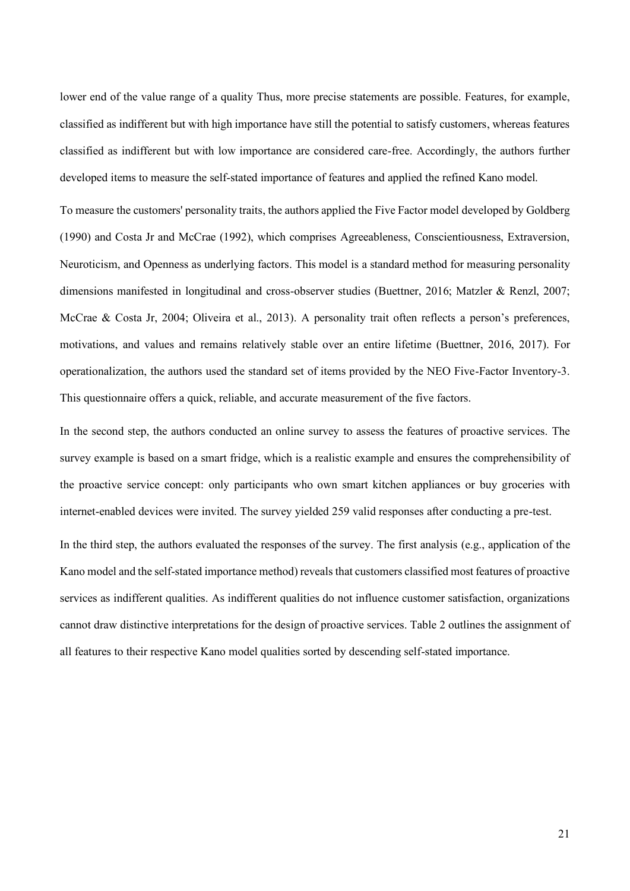lower end of the value range of a quality Thus, more precise statements are possible. Features, for example, classified as indifferent but with high importance have still the potential to satisfy customers, whereas features classified as indifferent but with low importance are considered care-free. Accordingly, the authors further developed items to measure the self-stated importance of features and applied the refined Kano model.

To measure the customers' personality traits, the authors applied the Five Factor model developed by Goldberg (1990) and Costa Jr and McCrae (1992), which comprises Agreeableness, Conscientiousness, Extraversion, Neuroticism, and Openness as underlying factors. This model is a standard method for measuring personality dimensions manifested in longitudinal and cross-observer studies (Buettner, 2016; Matzler & Renzl, 2007; McCrae & Costa Jr, 2004; Oliveira et al., 2013). A personality trait often reflects a person's preferences, motivations, and values and remains relatively stable over an entire lifetime (Buettner, 2016, 2017). For operationalization, the authors used the standard set of items provided by the NEO Five-Factor Inventory-3. This questionnaire offers a quick, reliable, and accurate measurement of the five factors.

In the second step, the authors conducted an online survey to assess the features of proactive services. The survey example is based on a smart fridge, which is a realistic example and ensures the comprehensibility of the proactive service concept: only participants who own smart kitchen appliances or buy groceries with internet-enabled devices were invited. The survey yielded 259 valid responses after conducting a pre-test.

In the third step, the authors evaluated the responses of the survey. The first analysis (e.g., application of the Kano model and the self-stated importance method) reveals that customers classified most features of proactive services as indifferent qualities. As indifferent qualities do not influence customer satisfaction, organizations cannot draw distinctive interpretations for the design of proactive services. Table 2 outlines the assignment of all features to their respective Kano model qualities sorted by descending self-stated importance.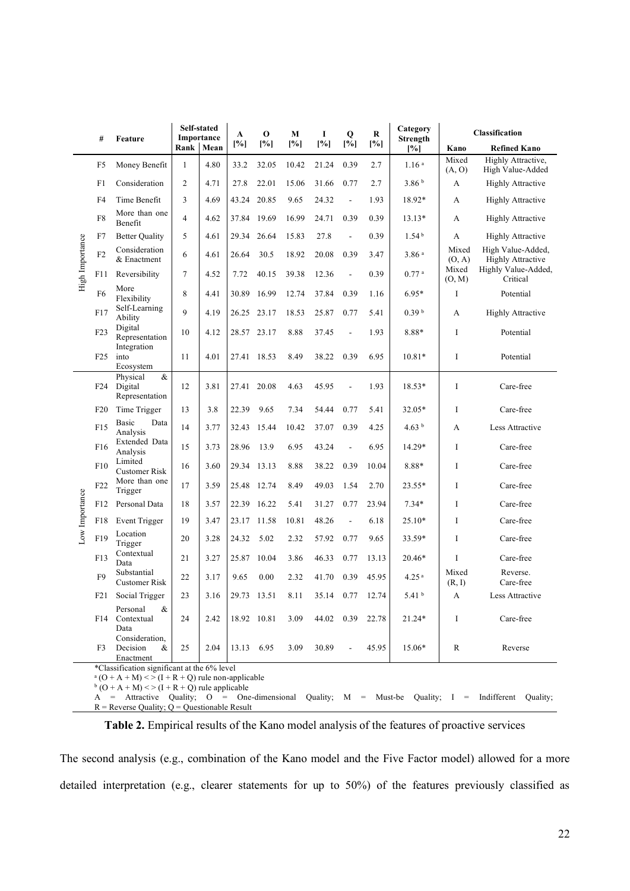|                                             | #                                                                                                                                                               | Feature                                      |                | Self-stated<br>Importance | A          | $\mathbf 0$ | М     | 1          | Q              | R     | Category<br>Strength |                 | Classification                                |
|---------------------------------------------|-----------------------------------------------------------------------------------------------------------------------------------------------------------------|----------------------------------------------|----------------|---------------------------|------------|-------------|-------|------------|----------------|-------|----------------------|-----------------|-----------------------------------------------|
|                                             |                                                                                                                                                                 |                                              | <b>Rank</b>    | Mean                      | [%]        | [%]         | [%]   | [%]        | [%]            | [%]   | [%]                  | Kano            | <b>Refined Kano</b>                           |
|                                             | F <sub>5</sub>                                                                                                                                                  | Money Benefit                                | $\mathbf{1}$   | 4.80                      | 33.2       | 32.05       | 10.42 | 21.24      | 0.39           | 2.7   | 1.16 <sup>a</sup>    | Mixed<br>(A, O) | Highly Attractive,<br>High Value-Added        |
|                                             | F1                                                                                                                                                              | Consideration                                | $\overline{2}$ | 4.71                      | 27.8       | 22.01       | 15.06 | 31.66      | 0.77           | 2.7   | 3.86 <sup>b</sup>    | А               | <b>Highly Attractive</b>                      |
|                                             | F4                                                                                                                                                              | Time Benefit                                 | 3              | 4.69                      | 43.24      | 20.85       | 9.65  | 24.32      | $\overline{a}$ | 1.93  | 18.92*               | A               | <b>Highly Attractive</b>                      |
|                                             | F8                                                                                                                                                              | More than one<br>Benefit                     | $\overline{4}$ | 4.62                      | 37.84      | 19.69       | 16.99 | 24.71      | 0.39           | 0.39  | 13.13*               | A               | <b>Highly Attractive</b>                      |
|                                             | F7                                                                                                                                                              | <b>Better Quality</b>                        | 5              | 4.61                      | 29.34      | 26.64       | 15.83 | 27.8       | $\overline{a}$ | 0.39  | 1.54 <sup>b</sup>    | А               | <b>Highly Attractive</b>                      |
| High Importance                             | F2                                                                                                                                                              | Consideration<br>& Enactment                 | 6              | 4.61                      | 26.64      | 30.5        | 18.92 | 20.08      | 0.39           | 3.47  | 3.86 <sup>a</sup>    | Mixed<br>(O, A) | High Value-Added,<br><b>Highly Attractive</b> |
|                                             | F11                                                                                                                                                             | Reversibility                                | $\tau$         | 4.52                      | 7.72       | 40.15       | 39.38 | 12.36      | $\overline{a}$ | 0.39  | $0.77$ <sup>a</sup>  | Mixed<br>(O, M) | Highly Value-Added,<br>Critical               |
|                                             | F <sub>6</sub>                                                                                                                                                  | More<br>Flexibility                          | 8              | 4.41                      | 30.89      | 16.99       | 12.74 | 37.84      | 0.39           | 1.16  | $6.95*$              | I               | Potential                                     |
|                                             | F17                                                                                                                                                             | Self-Learning<br>Ability                     | 9              | 4.19                      | 26.25      | 23.17       | 18.53 | 25.87      | 0.77           | 5.41  | 0.39 <sup>b</sup>    | A               | <b>Highly Attractive</b>                      |
|                                             | F23                                                                                                                                                             | Digital<br>Representation                    | 10             | 4.12                      | 28.57      | 23.17       | 8.88  | 37.45      | L,             | 1.93  | 8.88*                | $\mathbf I$     | Potential                                     |
|                                             | F25                                                                                                                                                             | Integration<br>into<br>Ecosystem             | 11             | 4.01                      | 27.41      | 18.53       | 8.49  | 38.22      | 0.39           | 6.95  | $10.81*$             | $\mathbf I$     | Potential                                     |
|                                             | F24                                                                                                                                                             | $\&$<br>Physical<br>Digital                  | 12             | 3.81                      | 27.41      | 20.08       | 4.63  | 45.95      | L,             | 1.93  | 18.53*               | I               | Care-free                                     |
|                                             | F20                                                                                                                                                             | Representation<br>Time Trigger               | 13             | 3.8                       | 22.39      | 9.65        | 7.34  | 54.44      | 0.77           | 5.41  | 32.05*               | I               | Care-free                                     |
|                                             |                                                                                                                                                                 | Basic<br>Data                                |                |                           |            |             |       |            |                |       |                      |                 |                                               |
|                                             | F15                                                                                                                                                             | Analysis<br>Extended Data                    | 14             | 3.77                      | 32.43      | 15.44       | 10.42 | 37.07      | 0.39           | 4.25  | 4.63 $b$             | A               | Less Attractive                               |
|                                             | F16                                                                                                                                                             | Analysis                                     | 15             | 3.73                      | 28.96      | 13.9        | 6.95  | 43.24      | L,             | 6.95  | 14.29*               | I               | Care-free                                     |
|                                             | F10                                                                                                                                                             | Limited<br><b>Customer Risk</b>              | 16             | 3.60                      | 29.34      | 13.13       | 8.88  | 38.22      | 0.39           | 10.04 | 8.88*                | $\mathbf I$     | Care-free                                     |
|                                             | F22                                                                                                                                                             | More than one<br>Trigger                     | 17             | 3.59                      |            | 25.48 12.74 | 8.49  | 49.03      | 1.54           | 2.70  | 23.55*               | I               | Care-free                                     |
|                                             | F12                                                                                                                                                             | Personal Data                                | 18             | 3.57                      | 22.39      | 16.22       | 5.41  | 31.27      | 0.77           | 23.94 | $7.34*$              | $\mathbf I$     | Care-free                                     |
| Low Importance                              | F18                                                                                                                                                             | <b>Event Trigger</b>                         | 19             | 3.47                      | 23.17      | 11.58       | 10.81 | 48.26      | $\blacksquare$ | 6.18  | 25.10*               | I               | Care-free                                     |
|                                             | F19                                                                                                                                                             | Location<br>Trigger                          | 20             | 3.28                      | 24.32      | 5.02        | 2.32  | 57.92      | 0.77           | 9.65  | 33.59*               | I               | Care-free                                     |
|                                             | F13                                                                                                                                                             | Contextual<br>Data                           | 21             | 3.27                      | 25.87      | 10.04       | 3.86  | 46.33      | 0.77           | 13.13 | 20.46*               | I               | Care-free                                     |
|                                             | F <sub>9</sub>                                                                                                                                                  | Substantial<br><b>Customer Risk</b>          | 22             | 3.17                      | 9.65       | 0.00        | 2.32  | 41.70      | 0.39           | 45.95 | 4.25 <sup>a</sup>    | Mixed<br>(R, I) | Reverse.<br>Care-free                         |
|                                             | F21                                                                                                                                                             | Social Trigger                               | 23             | 3.16                      |            | 29.73 13.51 | 8.11  | 35.14 0.77 |                | 12.74 | 5.41 $^{\rm b}$      | A               | Less Attractive                               |
|                                             |                                                                                                                                                                 | Personal<br>&<br>F14 Contextual<br>Data      | 24             | 2.42                      |            | 18.92 10.81 | 3.09  | 44.02 0.39 |                | 22.78 | 21.24*               | I               | Care-free                                     |
|                                             | F <sub>3</sub>                                                                                                                                                  | Consideration.<br>Decision<br>&<br>Enactment | 25             | 2.04                      | 13.13 6.95 |             | 3.09  | 30.89      |                | 45.95 | 15.06*               | $\mathbb{R}$    | Reverse                                       |
| *Classification significant at the 6% level |                                                                                                                                                                 |                                              |                |                           |            |             |       |            |                |       |                      |                 |                                               |
|                                             | $\alpha$ (O + A + M) < > (I + R + Q) rule non-applicable<br>$b (O + A + M)$ < > (I + R + Q) rule applicable                                                     |                                              |                |                           |            |             |       |            |                |       |                      |                 |                                               |
|                                             | $A =$ Attractive Quality; $O =$ One-dimensional<br>Quality; $M =$ Must-be Quality; $I =$ Indifferent Quality;<br>$R$ = Reverse Quality; Q = Questionable Result |                                              |                |                           |            |             |       |            |                |       |                      |                 |                                               |

**Table 2.** Empirical results of the Kano model analysis of the features of proactive services

The second analysis (e.g., combination of the Kano model and the Five Factor model) allowed for a more detailed interpretation (e.g., clearer statements for up to 50%) of the features previously classified as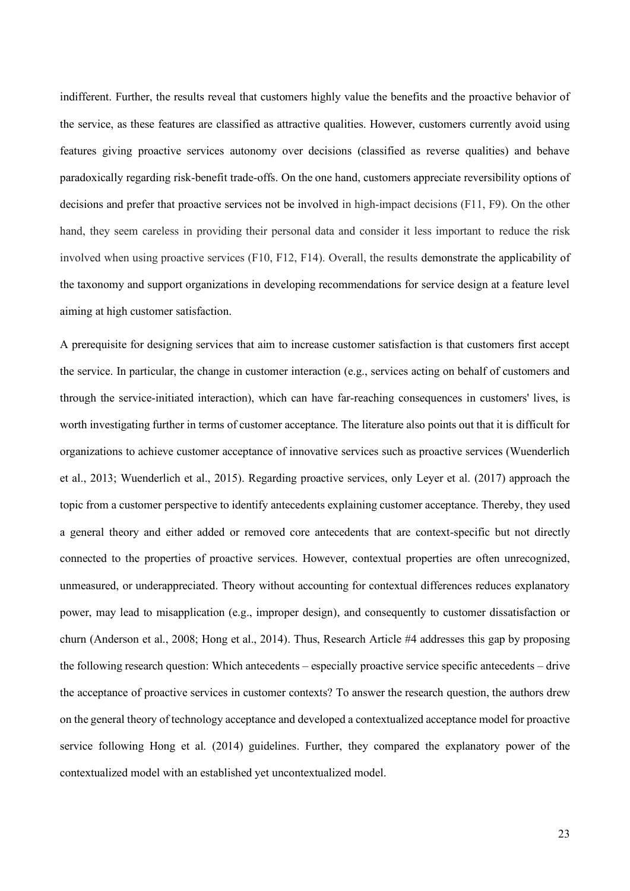indifferent. Further, the results reveal that customers highly value the benefits and the proactive behavior of the service, as these features are classified as attractive qualities. However, customers currently avoid using features giving proactive services autonomy over decisions (classified as reverse qualities) and behave paradoxically regarding risk-benefit trade-offs. On the one hand, customers appreciate reversibility options of decisions and prefer that proactive services not be involved in high-impact decisions (F11, F9). On the other hand, they seem careless in providing their personal data and consider it less important to reduce the risk involved when using proactive services (F10, F12, F14). Overall, the results demonstrate the applicability of the taxonomy and support organizations in developing recommendations for service design at a feature level aiming at high customer satisfaction.

A prerequisite for designing services that aim to increase customer satisfaction is that customers first accept the service. In particular, the change in customer interaction (e.g., services acting on behalf of customers and through the service-initiated interaction), which can have far-reaching consequences in customers' lives, is worth investigating further in terms of customer acceptance. The literature also points out that it is difficult for organizations to achieve customer acceptance of innovative services such as proactive services (Wuenderlich et al., 2013; Wuenderlich et al., 2015). Regarding proactive services, only Leyer et al. (2017) approach the topic from a customer perspective to identify antecedents explaining customer acceptance. Thereby, they used a general theory and either added or removed core antecedents that are context-specific but not directly connected to the properties of proactive services. However, contextual properties are often unrecognized, unmeasured, or underappreciated. Theory without accounting for contextual differences reduces explanatory power, may lead to misapplication (e.g., improper design), and consequently to customer dissatisfaction or churn (Anderson et al., 2008; Hong et al., 2014). Thus, Research Article #4 addresses this gap by proposing the following research question: Which antecedents – especially proactive service specific antecedents – drive the acceptance of proactive services in customer contexts? To answer the research question, the authors drew on the general theory of technology acceptance and developed a contextualized acceptance model for proactive service following Hong et al. (2014) guidelines. Further, they compared the explanatory power of the contextualized model with an established yet uncontextualized model.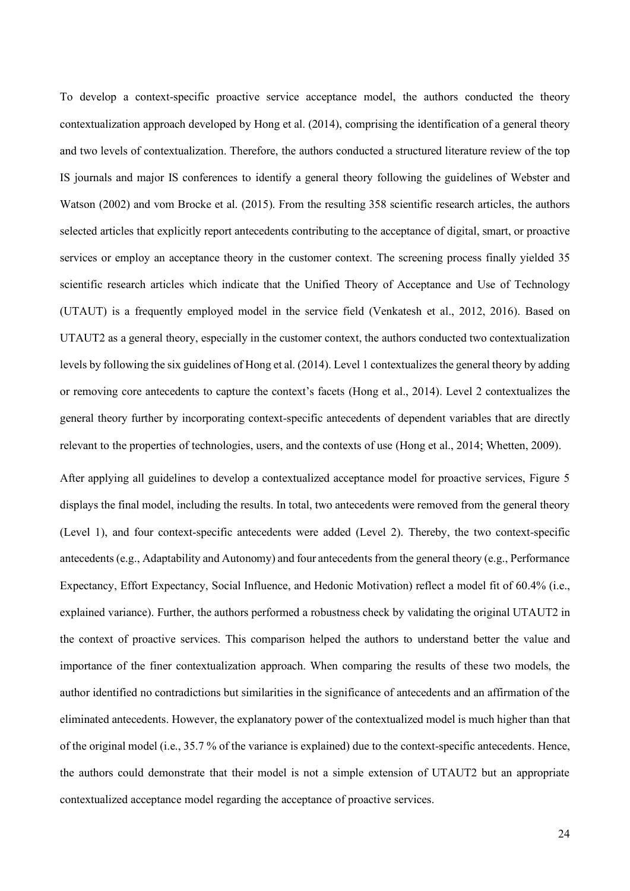To develop a context-specific proactive service acceptance model, the authors conducted the theory contextualization approach developed by Hong et al. (2014), comprising the identification of a general theory and two levels of contextualization. Therefore, the authors conducted a structured literature review of the top IS journals and major IS conferences to identify a general theory following the guidelines of Webster and Watson (2002) and vom Brocke et al. (2015). From the resulting 358 scientific research articles, the authors selected articles that explicitly report antecedents contributing to the acceptance of digital, smart, or proactive services or employ an acceptance theory in the customer context. The screening process finally yielded 35 scientific research articles which indicate that the Unified Theory of Acceptance and Use of Technology (UTAUT) is a frequently employed model in the service field (Venkatesh et al., 2012, 2016). Based on UTAUT2 as a general theory, especially in the customer context, the authors conducted two contextualization levels by following the six guidelines of Hong et al. (2014). Level 1 contextualizes the general theory by adding or removing core antecedents to capture the context's facets (Hong et al., 2014). Level 2 contextualizes the general theory further by incorporating context-specific antecedents of dependent variables that are directly relevant to the properties of technologies, users, and the contexts of use (Hong et al., 2014; Whetten, 2009).

After applying all guidelines to develop a contextualized acceptance model for proactive services, Figure 5 displays the final model, including the results. In total, two antecedents were removed from the general theory (Level 1), and four context-specific antecedents were added (Level 2). Thereby, the two context-specific antecedents (e.g., Adaptability and Autonomy) and four antecedents from the general theory (e.g., Performance Expectancy, Effort Expectancy, Social Influence, and Hedonic Motivation) reflect a model fit of 60.4% (i.e., explained variance). Further, the authors performed a robustness check by validating the original UTAUT2 in the context of proactive services. This comparison helped the authors to understand better the value and importance of the finer contextualization approach. When comparing the results of these two models, the author identified no contradictions but similarities in the significance of antecedents and an affirmation of the eliminated antecedents. However, the explanatory power of the contextualized model is much higher than that of the original model (i.e., 35.7 % of the variance is explained) due to the context-specific antecedents. Hence, the authors could demonstrate that their model is not a simple extension of UTAUT2 but an appropriate contextualized acceptance model regarding the acceptance of proactive services.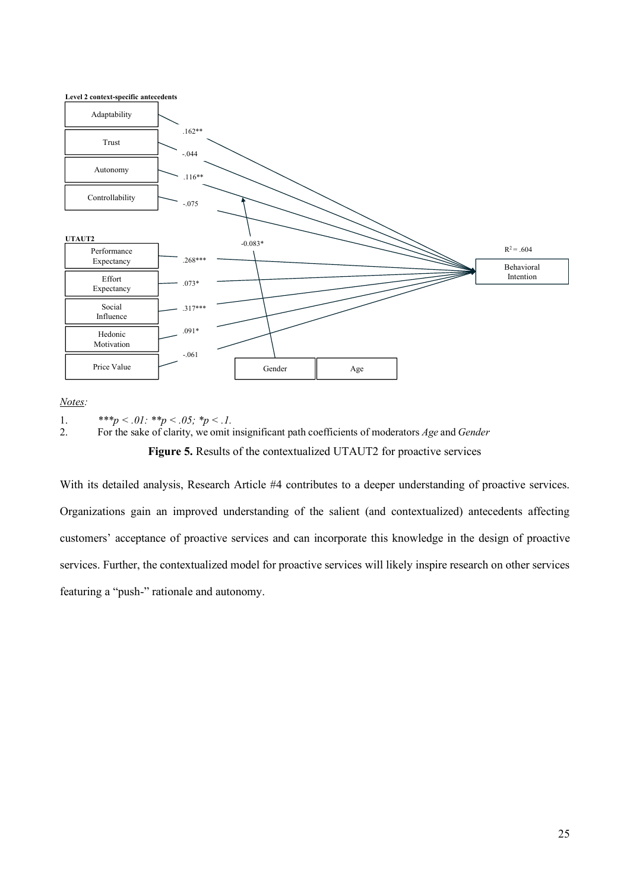

*Notes:*

1.  $***p < .01: **p < .05; **p < .1.$ 

2. For the sake of clarity, we omit insignificant path coefficients of moderators *Age* and *Gender*

**Figure 5.** Results of the contextualized UTAUT2 for proactive services

With its detailed analysis, Research Article #4 contributes to a deeper understanding of proactive services. Organizations gain an improved understanding of the salient (and contextualized) antecedents affecting customers' acceptance of proactive services and can incorporate this knowledge in the design of proactive services. Further, the contextualized model for proactive services will likely inspire research on other services featuring a "push-" rationale and autonomy.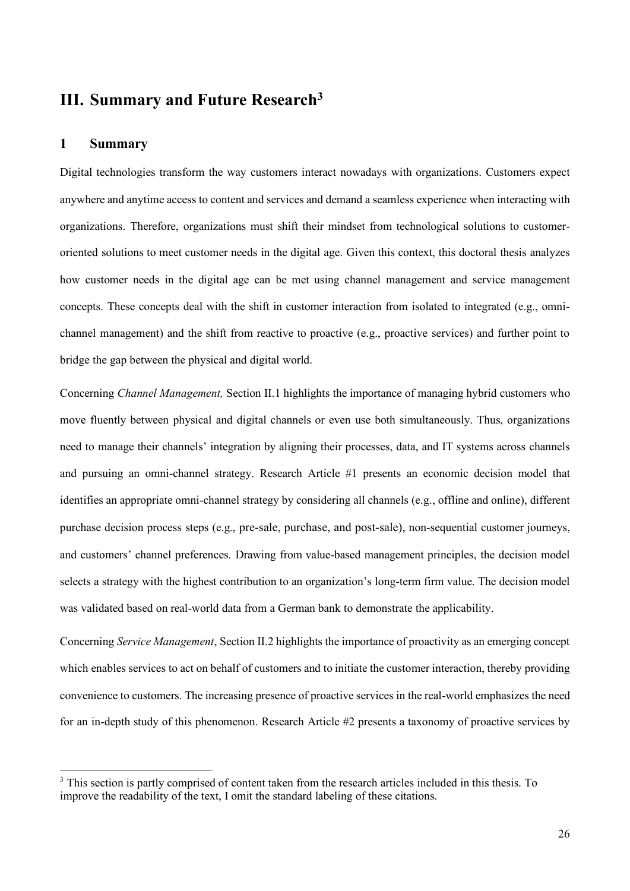### <span id="page-31-0"></span>**III. Summary and Future Research<sup>3</sup>**

#### <span id="page-31-1"></span>**1 Summary**

Digital technologies transform the way customers interact nowadays with organizations. Customers expect anywhere and anytime access to content and services and demand a seamless experience when interacting with organizations. Therefore, organizations must shift their mindset from technological solutions to customeroriented solutions to meet customer needs in the digital age. Given this context, this doctoral thesis analyzes how customer needs in the digital age can be met using channel management and service management concepts. These concepts deal with the shift in customer interaction from isolated to integrated (e.g., omnichannel management) and the shift from reactive to proactive (e.g., proactive services) and further point to bridge the gap between the physical and digital world.

Concerning *Channel Management,* Section II.1 highlights the importance of managing hybrid customers who move fluently between physical and digital channels or even use both simultaneously. Thus, organizations need to manage their channels' integration by aligning their processes, data, and IT systems across channels and pursuing an omni-channel strategy. Research Article #1 presents an economic decision model that identifies an appropriate omni-channel strategy by considering all channels (e.g., offline and online), different purchase decision process steps (e.g., pre-sale, purchase, and post-sale), non-sequential customer journeys, and customers' channel preferences. Drawing from value-based management principles, the decision model selects a strategy with the highest contribution to an organization's long-term firm value. The decision model was validated based on real-world data from a German bank to demonstrate the applicability.

Concerning *Service Management*, Section II.2 highlights the importance of proactivity as an emerging concept which enables services to act on behalf of customers and to initiate the customer interaction, thereby providing convenience to customers. The increasing presence of proactive services in the real-world emphasizes the need for an in-depth study of this phenomenon. Research Article #2 presents a taxonomy of proactive services by

<sup>&</sup>lt;sup>3</sup> This section is partly comprised of content taken from the research articles included in this thesis. To improve the readability of the text, I omit the standard labeling of these citations.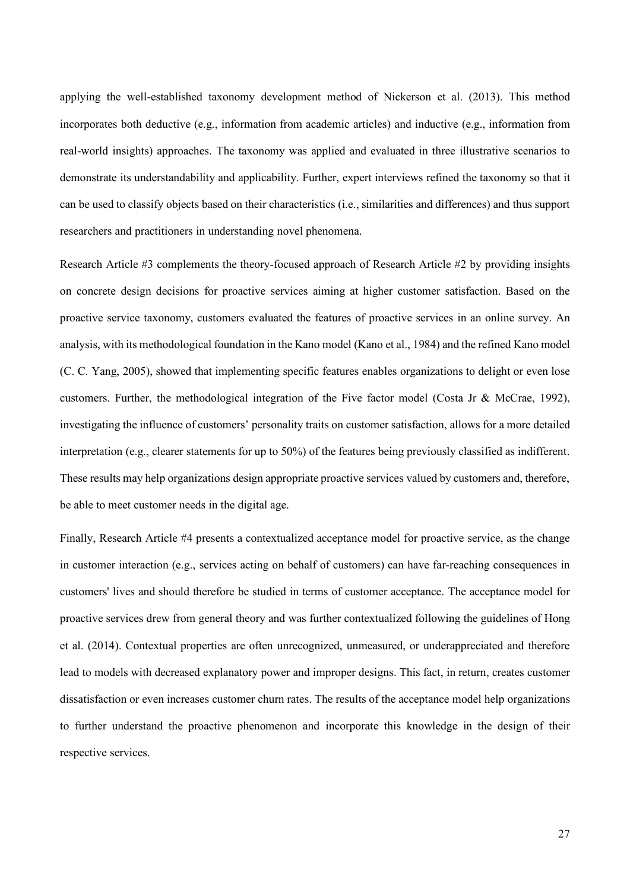applying the well-established taxonomy development method of Nickerson et al. (2013). This method incorporates both deductive (e.g., information from academic articles) and inductive (e.g., information from real-world insights) approaches. The taxonomy was applied and evaluated in three illustrative scenarios to demonstrate its understandability and applicability. Further, expert interviews refined the taxonomy so that it can be used to classify objects based on their characteristics (i.e., similarities and differences) and thus support researchers and practitioners in understanding novel phenomena.

Research Article #3 complements the theory-focused approach of Research Article #2 by providing insights on concrete design decisions for proactive services aiming at higher customer satisfaction. Based on the proactive service taxonomy, customers evaluated the features of proactive services in an online survey. An analysis, with its methodological foundation in the Kano model (Kano et al., 1984) and the refined Kano model (C. C. Yang, 2005), showed that implementing specific features enables organizations to delight or even lose customers. Further, the methodological integration of the Five factor model (Costa Jr & McCrae, 1992), investigating the influence of customers' personality traits on customer satisfaction, allows for a more detailed interpretation (e.g., clearer statements for up to 50%) of the features being previously classified as indifferent. These results may help organizations design appropriate proactive services valued by customers and, therefore, be able to meet customer needs in the digital age.

Finally, Research Article #4 presents a contextualized acceptance model for proactive service, as the change in customer interaction (e.g., services acting on behalf of customers) can have far-reaching consequences in customers' lives and should therefore be studied in terms of customer acceptance. The acceptance model for proactive services drew from general theory and was further contextualized following the guidelines of Hong et al. (2014). Contextual properties are often unrecognized, unmeasured, or underappreciated and therefore lead to models with decreased explanatory power and improper designs. This fact, in return, creates customer dissatisfaction or even increases customer churn rates. The results of the acceptance model help organizations to further understand the proactive phenomenon and incorporate this knowledge in the design of their respective services.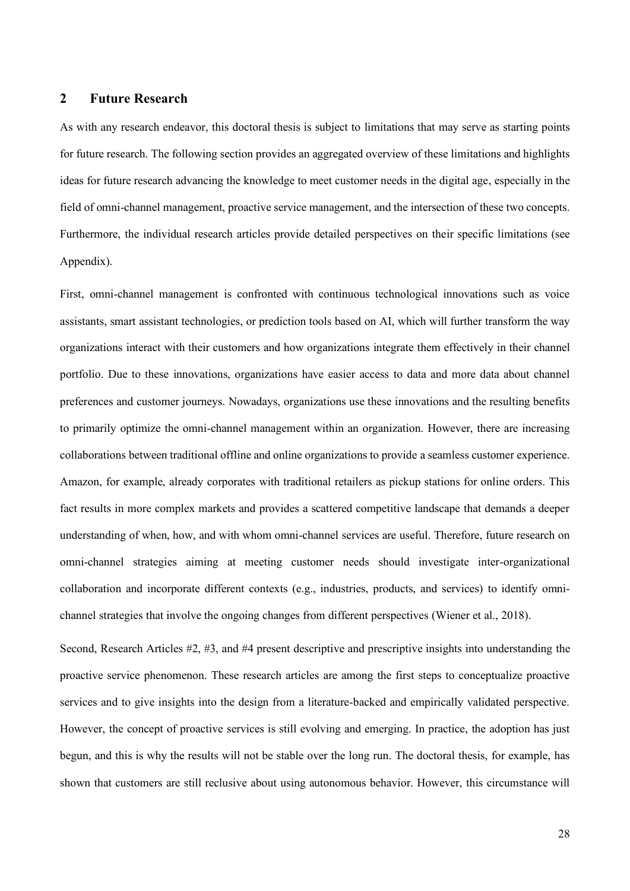#### <span id="page-33-0"></span>**2 Future Research**

As with any research endeavor, this doctoral thesis is subject to limitations that may serve as starting points for future research. The following section provides an aggregated overview of these limitations and highlights ideas for future research advancing the knowledge to meet customer needs in the digital age, especially in the field of omni-channel management, proactive service management, and the intersection of these two concepts. Furthermore, the individual research articles provide detailed perspectives on their specific limitations (see Appendix).

First, omni-channel management is confronted with continuous technological innovations such as voice assistants, smart assistant technologies, or prediction tools based on AI, which will further transform the way organizations interact with their customers and how organizations integrate them effectively in their channel portfolio. Due to these innovations, organizations have easier access to data and more data about channel preferences and customer journeys. Nowadays, organizations use these innovations and the resulting benefits to primarily optimize the omni-channel management within an organization. However, there are increasing collaborations between traditional offline and online organizations to provide a seamless customer experience. Amazon, for example, already corporates with traditional retailers as pickup stations for online orders. This fact results in more complex markets and provides a scattered competitive landscape that demands a deeper understanding of when, how, and with whom omni-channel services are useful. Therefore, future research on omni-channel strategies aiming at meeting customer needs should investigate inter-organizational collaboration and incorporate different contexts (e.g., industries, products, and services) to identify omnichannel strategies that involve the ongoing changes from different perspectives (Wiener et al., 2018).

Second, Research Articles #2, #3, and #4 present descriptive and prescriptive insights into understanding the proactive service phenomenon. These research articles are among the first steps to conceptualize proactive services and to give insights into the design from a literature-backed and empirically validated perspective. However, the concept of proactive services is still evolving and emerging. In practice, the adoption has just begun, and this is why the results will not be stable over the long run. The doctoral thesis, for example, has shown that customers are still reclusive about using autonomous behavior. However, this circumstance will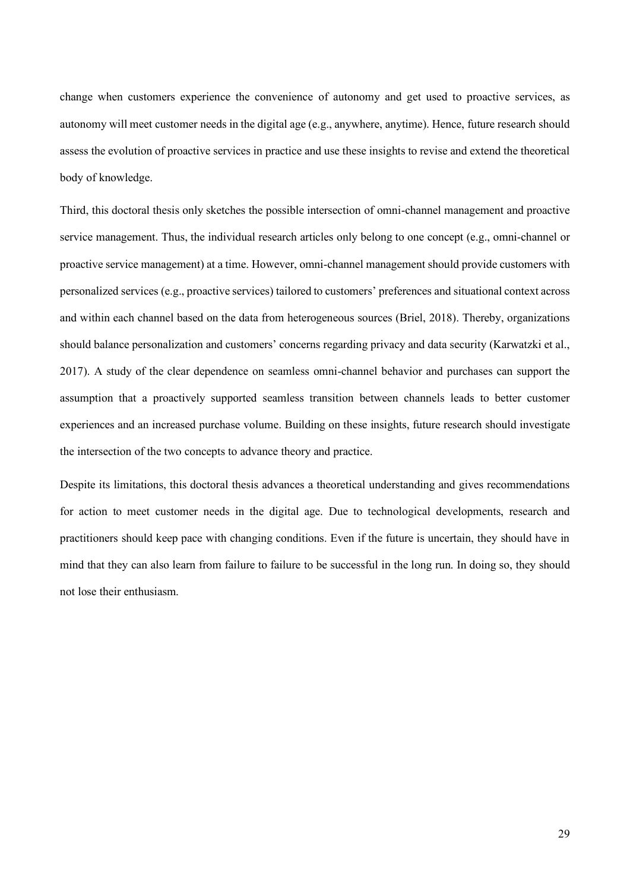change when customers experience the convenience of autonomy and get used to proactive services, as autonomy will meet customer needs in the digital age (e.g., anywhere, anytime). Hence, future research should assess the evolution of proactive services in practice and use these insights to revise and extend the theoretical body of knowledge.

Third, this doctoral thesis only sketches the possible intersection of omni-channel management and proactive service management. Thus, the individual research articles only belong to one concept (e.g., omni-channel or proactive service management) at a time. However, omni-channel management should provide customers with personalized services (e.g., proactive services) tailored to customers' preferences and situational context across and within each channel based on the data from heterogeneous sources (Briel, 2018). Thereby, organizations should balance personalization and customers' concerns regarding privacy and data security (Karwatzki et al., 2017). A study of the clear dependence on seamless omni-channel behavior and purchases can support the assumption that a proactively supported seamless transition between channels leads to better customer experiences and an increased purchase volume. Building on these insights, future research should investigate the intersection of the two concepts to advance theory and practice.

Despite its limitations, this doctoral thesis advances a theoretical understanding and gives recommendations for action to meet customer needs in the digital age. Due to technological developments, research and practitioners should keep pace with changing conditions. Even if the future is uncertain, they should have in mind that they can also learn from failure to failure to be successful in the long run. In doing so, they should not lose their enthusiasm.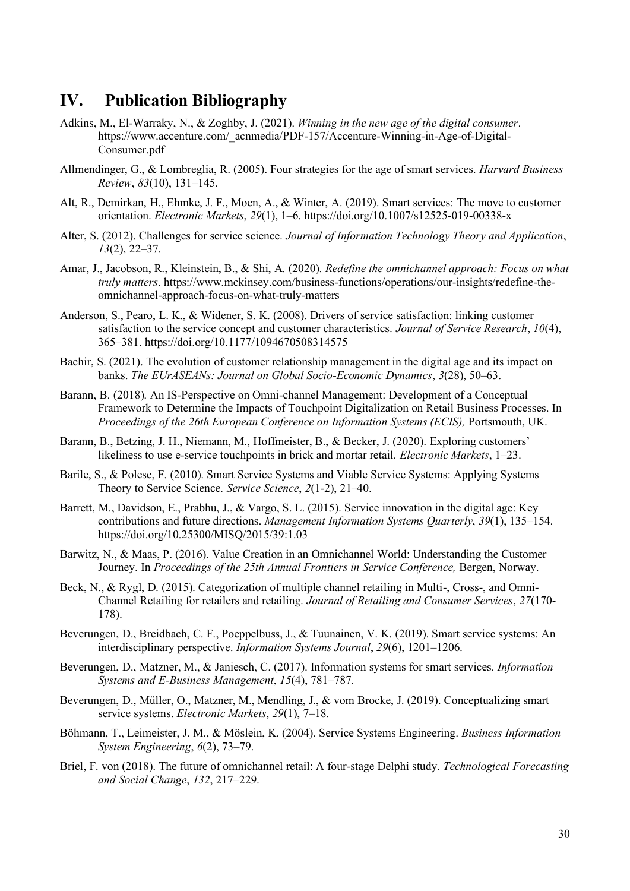## <span id="page-35-0"></span>**IV. Publication Bibliography**

- Adkins, M., El-Warraky, N., & Zoghby, J. (2021). *Winning in the new age of the digital consumer*. https://www.accenture.com/\_acnmedia/PDF-157/Accenture-Winning-in-Age-of-Digital-Consumer.pdf
- Allmendinger, G., & Lombreglia, R. (2005). Four strategies for the age of smart services. *Harvard Business Review*, *83*(10), 131–145.
- Alt, R., Demirkan, H., Ehmke, J. F., Moen, A., & Winter, A. (2019). Smart services: The move to customer orientation. *Electronic Markets*, *29*(1), 1–6. https://doi.org/10.1007/s12525-019-00338-x
- Alter, S. (2012). Challenges for service science. *Journal of Information Technology Theory and Application*, *13*(2), 22–37.
- Amar, J., Jacobson, R., Kleinstein, B., & Shi, A. (2020). *Redefine the omnichannel approach: Focus on what truly matters*. https://www.mckinsey.com/business-functions/operations/our-insights/redefine-theomnichannel-approach-focus-on-what-truly-matters
- Anderson, S., Pearo, L. K., & Widener, S. K. (2008). Drivers of service satisfaction: linking customer satisfaction to the service concept and customer characteristics. *Journal of Service Research*, *10*(4), 365–381. https://doi.org/10.1177/1094670508314575
- Bachir, S. (2021). The evolution of customer relationship management in the digital age and its impact on banks. *The EUrASEANs: Journal on Global Socio-Economic Dynamics*, *3*(28), 50–63.
- Barann, B. (2018). An IS-Perspective on Omni-channel Management: Development of a Conceptual Framework to Determine the Impacts of Touchpoint Digitalization on Retail Business Processes. In *Proceedings of the 26th European Conference on Information Systems (ECIS),* Portsmouth, UK.
- Barann, B., Betzing, J. H., Niemann, M., Hoffmeister, B., & Becker, J. (2020). Exploring customers' likeliness to use e-service touchpoints in brick and mortar retail. *Electronic Markets*, 1–23.
- Barile, S., & Polese, F. (2010). Smart Service Systems and Viable Service Systems: Applying Systems Theory to Service Science. *Service Science*, *2*(1-2), 21–40.
- Barrett, M., Davidson, E., Prabhu, J., & Vargo, S. L. (2015). Service innovation in the digital age: Key contributions and future directions. *Management Information Systems Quarterly*, *39*(1), 135–154. https://doi.org/10.25300/MISQ/2015/39:1.03
- Barwitz, N., & Maas, P. (2016). Value Creation in an Omnichannel World: Understanding the Customer Journey. In *Proceedings of the 25th Annual Frontiers in Service Conference*, Bergen, Norway.
- Beck, N., & Rygl, D. (2015). Categorization of multiple channel retailing in Multi-, Cross-, and Omni-Channel Retailing for retailers and retailing. *Journal of Retailing and Consumer Services*, *27*(170- 178).
- Beverungen, D., Breidbach, C. F., Poeppelbuss, J., & Tuunainen, V. K. (2019). Smart service systems: An interdisciplinary perspective. *Information Systems Journal*, *29*(6), 1201–1206.
- Beverungen, D., Matzner, M., & Janiesch, C. (2017). Information systems for smart services. *Information Systems and E-Business Management*, *15*(4), 781–787.
- Beverungen, D., Müller, O., Matzner, M., Mendling, J., & vom Brocke, J. (2019). Conceptualizing smart service systems. *Electronic Markets*, *29*(1), 7–18.
- Böhmann, T., Leimeister, J. M., & Möslein, K. (2004). Service Systems Engineering. *Business Information System Engineering*, *6*(2), 73–79.
- Briel, F. von (2018). The future of omnichannel retail: A four-stage Delphi study. *Technological Forecasting and Social Change*, *132*, 217–229.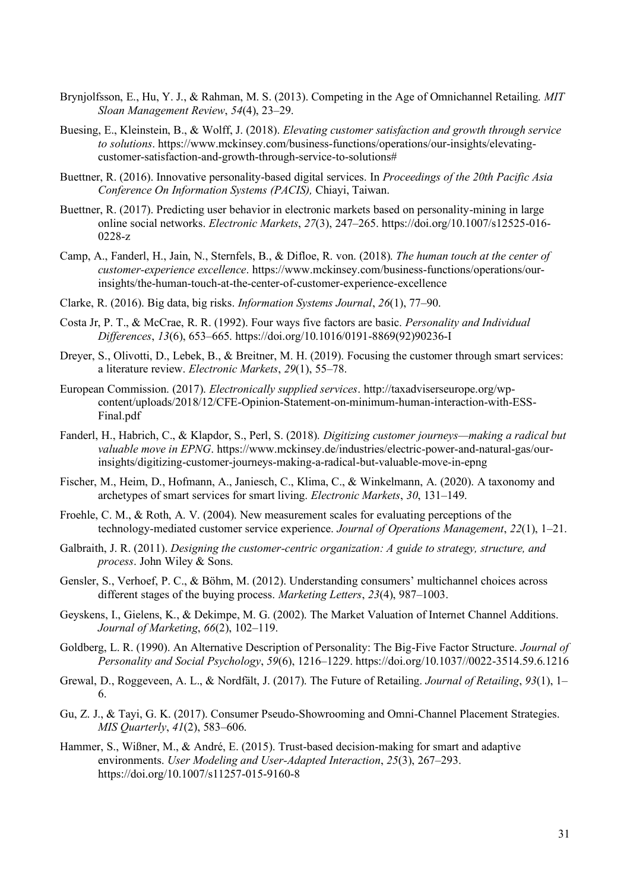- Brynjolfsson, E., Hu, Y. J., & Rahman, M. S. (2013). Competing in the Age of Omnichannel Retailing. *MIT Sloan Management Review*, *54*(4), 23–29.
- Buesing, E., Kleinstein, B., & Wolff, J. (2018). *Elevating customer satisfaction and growth through service to solutions*. https://www.mckinsey.com/business-functions/operations/our-insights/elevatingcustomer-satisfaction-and-growth-through-service-to-solutions#
- Buettner, R. (2016). Innovative personality-based digital services. In *Proceedings of the 20th Pacific Asia Conference On Information Systems (PACIS),* Chiayi, Taiwan.
- Buettner, R. (2017). Predicting user behavior in electronic markets based on personality-mining in large online social networks. *Electronic Markets*, *27*(3), 247–265. https://doi.org/10.1007/s12525-016- 0228-z
- Camp, A., Fanderl, H., Jain, N., Sternfels, B., & Difloe, R. von. (2018). *The human touch at the center of customer-experience excellence*. https://www.mckinsey.com/business-functions/operations/ourinsights/the-human-touch-at-the-center-of-customer-experience-excellence
- Clarke, R. (2016). Big data, big risks. *Information Systems Journal*, *26*(1), 77–90.
- Costa Jr, P. T., & McCrae, R. R. (1992). Four ways five factors are basic. *Personality and Individual Differences*, *13*(6), 653–665. https://doi.org/10.1016/0191-8869(92)90236-I
- Dreyer, S., Olivotti, D., Lebek, B., & Breitner, M. H. (2019). Focusing the customer through smart services: a literature review. *Electronic Markets*, *29*(1), 55–78.
- European Commission. (2017). *Electronically supplied services*. http://taxadviserseurope.org/wpcontent/uploads/2018/12/CFE-Opinion-Statement-on-minimum-human-interaction-with-ESS-Final.pdf
- Fanderl, H., Habrich, C., & Klapdor, S., Perl, S. (2018). *Digitizing customer journeys—making a radical but valuable move in EPNG*. https://www.mckinsey.de/industries/electric-power-and-natural-gas/ourinsights/digitizing-customer-journeys-making-a-radical-but-valuable-move-in-epng
- Fischer, M., Heim, D., Hofmann, A., Janiesch, C., Klima, C., & Winkelmann, A. (2020). A taxonomy and archetypes of smart services for smart living. *Electronic Markets*, *30*, 131–149.
- Froehle, C. M., & Roth, A. V. (2004). New measurement scales for evaluating perceptions of the technology-mediated customer service experience. *Journal of Operations Management*, *22*(1), 1–21.
- Galbraith, J. R. (2011). *Designing the customer-centric organization: A guide to strategy, structure, and process*. John Wiley & Sons.
- Gensler, S., Verhoef, P. C., & Böhm, M. (2012). Understanding consumers' multichannel choices across different stages of the buying process. *Marketing Letters*, *23*(4), 987–1003.
- Geyskens, I., Gielens, K., & Dekimpe, M. G. (2002). The Market Valuation of Internet Channel Additions. *Journal of Marketing*, *66*(2), 102–119.
- Goldberg, L. R. (1990). An Alternative Description of Personality: The Big-Five Factor Structure. *Journal of Personality and Social Psychology*, *59*(6), 1216–1229. https://doi.org/10.1037//0022-3514.59.6.1216
- Grewal, D., Roggeveen, A. L., & Nordfält, J. (2017). The Future of Retailing. *Journal of Retailing*, *93*(1), 1– 6.
- Gu, Z. J., & Tayi, G. K. (2017). Consumer Pseudo-Showrooming and Omni-Channel Placement Strategies. *MIS Quarterly*, *41*(2), 583–606.
- Hammer, S., Wißner, M., & André, E. (2015). Trust-based decision-making for smart and adaptive environments. *User Modeling and User-Adapted Interaction*, *25*(3), 267–293. https://doi.org/10.1007/s11257-015-9160-8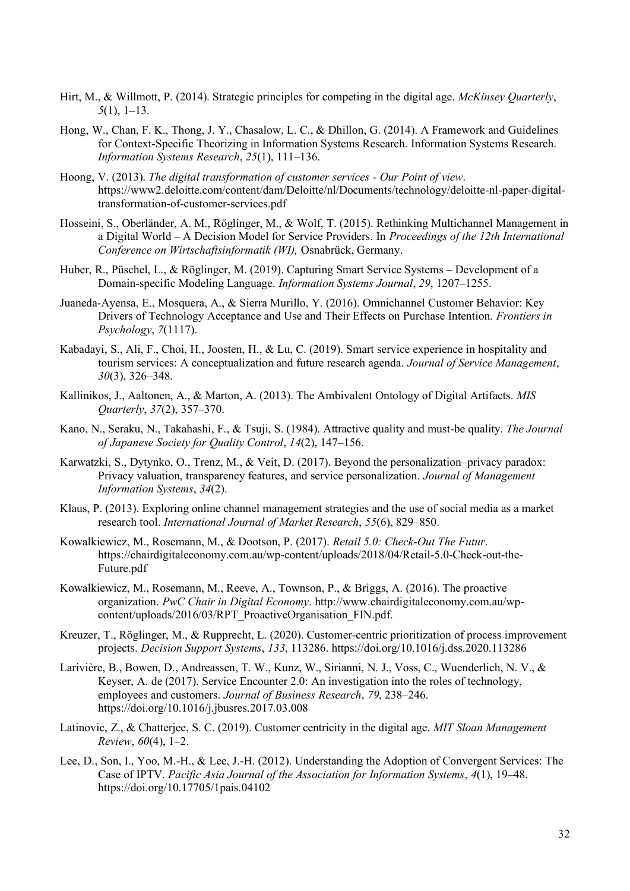- Hirt, M., & Willmott, P. (2014). Strategic principles for competing in the digital age. *McKinsey Quarterly*, *5*(1), 1–13.
- Hong, W., Chan, F. K., Thong, J. Y., Chasalow, L. C., & Dhillon, G. (2014). A Framework and Guidelines for Context-Specific Theorizing in Information Systems Research. Information Systems Research. *Information Systems Research*, *25*(1), 111–136.
- Hoong, V. (2013). *The digital transformation of customer services - Our Point of view*. https://www2.deloitte.com/content/dam/Deloitte/nl/Documents/technology/deloitte-nl-paper-digitaltransformation-of-customer-services.pdf
- Hosseini, S., Oberländer, A. M., Röglinger, M., & Wolf, T. (2015). Rethinking Multichannel Management in a Digital World – A Decision Model for Service Providers. In *Proceedings of the 12th International Conference on Wirtschaftsinformatik (WI),* Osnabrück, Germany.
- Huber, R., Püschel, L., & Röglinger, M. (2019). Capturing Smart Service Systems Development of a Domain-specific Modeling Language. *Information Systems Journal*, *29*, 1207–1255.
- Juaneda-Ayensa, E., Mosquera, A., & Sierra Murillo, Y. (2016). Omnichannel Customer Behavior: Key Drivers of Technology Acceptance and Use and Their Effects on Purchase Intention. *Frontiers in Psychology*, *7*(1117).
- Kabadayi, S., Ali, F., Choi, H., Joosten, H., & Lu, C. (2019). Smart service experience in hospitality and tourism services: A conceptualization and future research agenda. *Journal of Service Management*, *30*(3), 326–348.
- Kallinikos, J., Aaltonen, A., & Marton, A. (2013). The Ambivalent Ontology of Digital Artifacts. *MIS Quarterly*, *37*(2), 357–370.
- Kano, N., Seraku, N., Takahashi, F., & Tsuji, S. (1984). Attractive quality and must-be quality. *The Journal of Japanese Society for Quality Control*, *14*(2), 147–156.
- Karwatzki, S., Dytynko, O., Trenz, M., & Veit, D. (2017). Beyond the personalization–privacy paradox: Privacy valuation, transparency features, and service personalization. *Journal of Management Information Systems*, *34*(2).
- Klaus, P. (2013). Exploring online channel management strategies and the use of social media as a market research tool. *International Journal of Market Research*, *55*(6), 829–850.
- Kowalkiewicz, M., Rosemann, M., & Dootson, P. (2017). *Retail 5.0: Check-Out The Futur*. https://chairdigitaleconomy.com.au/wp-content/uploads/2018/04/Retail-5.0-Check-out-the-Future.pdf
- Kowalkiewicz, M., Rosemann, M., Reeve, A., Townson, P., & Briggs, A. (2016). The proactive organization. *PwC Chair in Digital Economy*. http://www.chairdigitaleconomy.com.au/wpcontent/uploads/2016/03/RPT\_ProactiveOrganisation\_FIN.pdf.
- Kreuzer, T., Röglinger, M., & Rupprecht, L. (2020). Customer-centric prioritization of process improvement projects. *Decision Support Systems*, *133*, 113286. https://doi.org/10.1016/j.dss.2020.113286
- Larivière, B., Bowen, D., Andreassen, T. W., Kunz, W., Sirianni, N. J., Voss, C., Wuenderlich, N. V., & Keyser, A. de (2017). Service Encounter 2.0: An investigation into the roles of technology, employees and customers. *Journal of Business Research*, *79*, 238–246. https://doi.org/10.1016/j.jbusres.2017.03.008
- Latinovic, Z., & Chatterjee, S. C. (2019). Customer centricity in the digital age. *MIT Sloan Management Review*, *60*(4), 1–2.
- Lee, D., Son, I., Yoo, M.–H., & Lee, J.–H. (2012). Understanding the Adoption of Convergent Services: The Case of IPTV. *Pacific Asia Journal of the Association for Information Systems*, *4*(1), 19–48. https://doi.org/10.17705/1pais.04102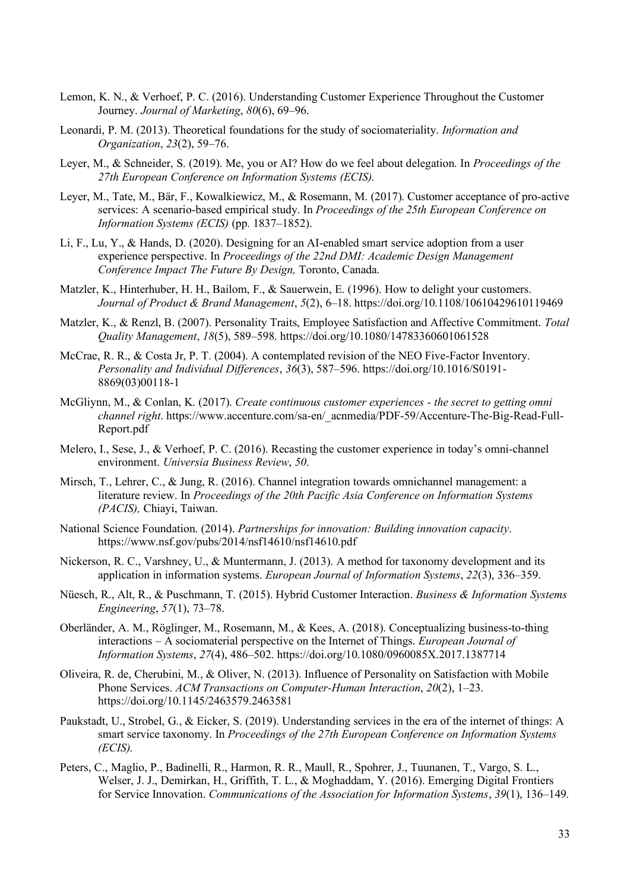- Lemon, K. N., & Verhoef, P. C. (2016). Understanding Customer Experience Throughout the Customer Journey. *Journal of Marketing*, *80*(6), 69–96.
- Leonardi, P. M. (2013). Theoretical foundations for the study of sociomateriality. *Information and Organization*, *23*(2), 59–76.
- Leyer, M., & Schneider, S. (2019). Me, you or AI? How do we feel about delegation. In *Proceedings of the 27th European Conference on Information Systems (ECIS).*
- Leyer, M., Tate, M., Bär, F., Kowalkiewicz, M., & Rosemann, M. (2017). Customer acceptance of pro-active services: A scenario-based empirical study. In *Proceedings of the 25th European Conference on Information Systems (ECIS)* (pp. 1837–1852).
- Li, F., Lu, Y., & Hands, D. (2020). Designing for an AI-enabled smart service adoption from a user experience perspective. In *Proceedings of the 22nd DMI: Academic Design Management Conference Impact The Future By Design,* Toronto, Canada.
- Matzler, K., Hinterhuber, H. H., Bailom, F., & Sauerwein, E. (1996). How to delight your customers. *Journal of Product & Brand Management*, *5*(2), 6–18. https://doi.org/10.1108/10610429610119469
- Matzler, K., & Renzl, B. (2007). Personality Traits, Employee Satisfaction and Affective Commitment. *Total Quality Management*, *18*(5), 589–598. https://doi.org/10.1080/14783360601061528
- McCrae, R. R., & Costa Jr, P. T. (2004). A contemplated revision of the NEO Five-Factor Inventory. *Personality and Individual Differences*, *36*(3), 587–596. https://doi.org/10.1016/S0191- 8869(03)00118-1
- McGliynn, M., & Conlan, K. (2017). *Create continuous customer experiences - the secret to getting omni channel right*. https://www.accenture.com/sa-en/\_acnmedia/PDF-59/Accenture-The-Big-Read-Full-Report.pdf
- Melero, I., Sese, J., & Verhoef, P. C. (2016). Recasting the customer experience in today's omni-channel environment. *Universia Business Review*, *50*.
- Mirsch, T., Lehrer, C., & Jung, R. (2016). Channel integration towards omnichannel management: a literature review. In *Proceedings of the 20th Pacific Asia Conference on Information Systems (PACIS),* Chiayi, Taiwan.
- National Science Foundation. (2014). *Partnerships for innovation: Building innovation capacity*. https://www.nsf.gov/pubs/2014/nsf14610/nsf14610.pdf
- Nickerson, R. C., Varshney, U., & Muntermann, J. (2013). A method for taxonomy development and its application in information systems. *European Journal of Information Systems*, *22*(3), 336–359.
- Nüesch, R., Alt, R., & Puschmann, T. (2015). Hybrid Customer Interaction. *Business & Information Systems Engineering*, *57*(1), 73–78.
- Oberländer, A. M., Röglinger, M., Rosemann, M., & Kees, A. (2018). Conceptualizing business-to-thing interactions – A sociomaterial perspective on the Internet of Things. *European Journal of Information Systems*, *27*(4), 486–502. https://doi.org/10.1080/0960085X.2017.1387714
- Oliveira, R. de, Cherubini, M., & Oliver, N. (2013). Influence of Personality on Satisfaction with Mobile Phone Services. *ACM Transactions on Computer-Human Interaction*, *20*(2), 1–23. https://doi.org/10.1145/2463579.2463581
- Paukstadt, U., Strobel, G., & Eicker, S. (2019). Understanding services in the era of the internet of things: A smart service taxonomy. In *Proceedings of the 27th European Conference on Information Systems (ECIS).*
- Peters, C., Maglio, P., Badinelli, R., Harmon, R. R., Maull, R., Spohrer, J., Tuunanen, T., Vargo, S. L., Welser, J. J., Demirkan, H., Griffith, T. L., & Moghaddam, Y. (2016). Emerging Digital Frontiers for Service Innovation. *Communications of the Association for Information Systems*, *39*(1), 136–149.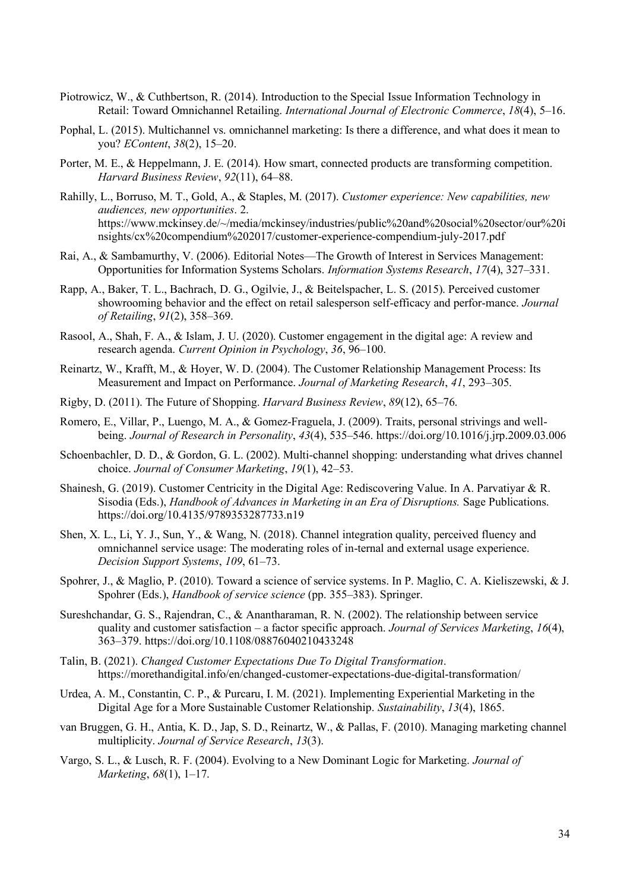- Piotrowicz, W., & Cuthbertson, R. (2014). Introduction to the Special Issue Information Technology in Retail: Toward Omnichannel Retailing. *International Journal of Electronic Commerce*, *18*(4), 5–16.
- Pophal, L. (2015). Multichannel vs. omnichannel marketing: Is there a difference, and what does it mean to you? *EContent*, *38*(2), 15–20.
- Porter, M. E., & Heppelmann, J. E. (2014). How smart, connected products are transforming competition. *Harvard Business Review*, *92*(11), 64–88.
- Rahilly, L., Borruso, M. T., Gold, A., & Staples, M. (2017). *Customer experience: New capabilities, new audiences, new opportunities*. 2. https://www.mckinsey.de/~/media/mckinsey/industries/public%20and%20social%20sector/our%20i nsights/cx%20compendium%202017/customer-experience-compendium-july-2017.pdf
- Rai, A., & Sambamurthy, V. (2006). Editorial Notes—The Growth of Interest in Services Management: Opportunities for Information Systems Scholars. *Information Systems Research*, *17*(4), 327–331.
- Rapp, A., Baker, T. L., Bachrach, D. G., Ogilvie, J., & Beitelspacher, L. S. (2015). Perceived customer showrooming behavior and the effect on retail salesperson self-efficacy and perfor-mance. *Journal of Retailing*, *91*(2), 358–369.
- Rasool, A., Shah, F. A., & Islam, J. U. (2020). Customer engagement in the digital age: A review and research agenda. *Current Opinion in Psychology*, *36*, 96–100.
- Reinartz, W., Krafft, M., & Hoyer, W. D. (2004). The Customer Relationship Management Process: Its Measurement and Impact on Performance. *Journal of Marketing Research*, *41*, 293–305.
- Rigby, D. (2011). The Future of Shopping. *Harvard Business Review*, *89*(12), 65–76.
- Romero, E., Villar, P., Luengo, M. A., & Gomez-Fraguela, J. (2009). Traits, personal strivings and wellbeing. *Journal of Research in Personality*, *43*(4), 535–546. https://doi.org/10.1016/j.jrp.2009.03.006
- Schoenbachler, D. D., & Gordon, G. L. (2002). Multi-channel shopping: understanding what drives channel choice. *Journal of Consumer Marketing*, *19*(1), 42–53.
- Shainesh, G. (2019). Customer Centricity in the Digital Age: Rediscovering Value. In A. Parvatiyar & R. Sisodia (Eds.), *Handbook of Advances in Marketing in an Era of Disruptions.* Sage Publications. https://doi.org/10.4135/9789353287733.n19
- Shen, X. L., Li, Y. J., Sun, Y., & Wang, N. (2018). Channel integration quality, perceived fluency and omnichannel service usage: The moderating roles of in-ternal and external usage experience. *Decision Support Systems*, *109*, 61–73.
- Spohrer, J., & Maglio, P. (2010). Toward a science of service systems. In P. Maglio, C. A. Kieliszewski, & J. Spohrer (Eds.), *Handbook of service science* (pp. 355–383). Springer.
- Sureshchandar, G. S., Rajendran, C., & Anantharaman, R. N. (2002). The relationship between service quality and customer satisfaction – a factor specific approach. *Journal of Services Marketing*, *16*(4), 363–379. https://doi.org/10.1108/08876040210433248
- Talin, B. (2021). *Changed Customer Expectations Due To Digital Transformation*. https://morethandigital.info/en/changed-customer-expectations-due-digital-transformation/
- Urdea, A. M., Constantin, C. P., & Purcaru, I. M. (2021). Implementing Experiential Marketing in the Digital Age for a More Sustainable Customer Relationship. *Sustainability*, *13*(4), 1865.
- van Bruggen, G. H., Antia, K. D., Jap, S. D., Reinartz, W., & Pallas, F. (2010). Managing marketing channel multiplicity. *Journal of Service Research*, *13*(3).
- Vargo, S. L., & Lusch, R. F. (2004). Evolving to a New Dominant Logic for Marketing. *Journal of Marketing*, *68*(1), 1–17.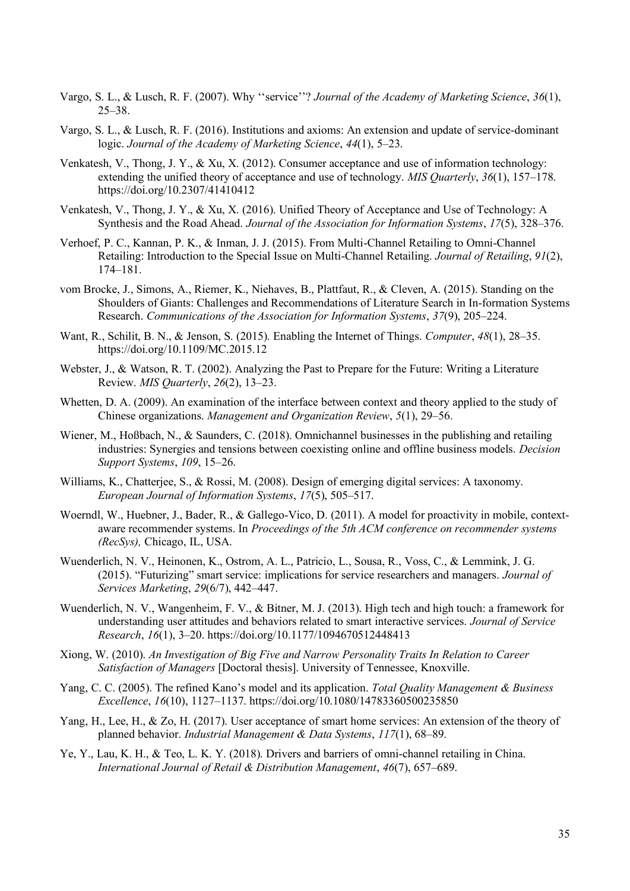- Vargo, S. L., & Lusch, R. F. (2007). Why ''service''? *Journal of the Academy of Marketing Science*, *36*(1), 25–38.
- Vargo, S. L., & Lusch, R. F. (2016). Institutions and axioms: An extension and update of service-dominant logic. *Journal of the Academy of Marketing Science*, *44*(1), 5–23.
- Venkatesh, V., Thong, J. Y., & Xu, X. (2012). Consumer acceptance and use of information technology: extending the unified theory of acceptance and use of technology. *MIS Quarterly*, *36*(1), 157–178. https://doi.org/10.2307/41410412
- Venkatesh, V., Thong, J. Y., & Xu, X. (2016). Unified Theory of Acceptance and Use of Technology: A Synthesis and the Road Ahead. *Journal of the Association for Information Systems*, *17*(5), 328–376.
- Verhoef, P. C., Kannan, P. K., & Inman, J. J. (2015). From Multi-Channel Retailing to Omni-Channel Retailing: Introduction to the Special Issue on Multi-Channel Retailing. *Journal of Retailing*, *91*(2), 174–181.
- vom Brocke, J., Simons, A., Riemer, K., Niehaves, B., Plattfaut, R., & Cleven, A. (2015). Standing on the Shoulders of Giants: Challenges and Recommendations of Literature Search in In-formation Systems Research. *Communications of the Association for Information Systems*, *37*(9), 205–224.
- Want, R., Schilit, B. N., & Jenson, S. (2015). Enabling the Internet of Things. *Computer*, *48*(1), 28–35. https://doi.org/10.1109/MC.2015.12
- Webster, J., & Watson, R. T. (2002). Analyzing the Past to Prepare for the Future: Writing a Literature Review. *MIS Quarterly*, *26*(2), 13–23.
- Whetten, D. A. (2009). An examination of the interface between context and theory applied to the study of Chinese organizations. *Management and Organization Review*, *5*(1), 29–56.
- Wiener, M., Hoßbach, N., & Saunders, C. (2018). Omnichannel businesses in the publishing and retailing industries: Synergies and tensions between coexisting online and offline business models. *Decision Support Systems*, *109*, 15–26.
- Williams, K., Chatterjee, S., & Rossi, M. (2008). Design of emerging digital services: A taxonomy. *European Journal of Information Systems*, *17*(5), 505–517.
- Woerndl, W., Huebner, J., Bader, R., & Gallego-Vico, D. (2011). A model for proactivity in mobile, contextaware recommender systems. In *Proceedings of the 5th ACM conference on recommender systems (RecSys),* Chicago, IL, USA.
- Wuenderlich, N. V., Heinonen, K., Ostrom, A. L., Patricio, L., Sousa, R., Voss, C., & Lemmink, J. G. (2015). "Futurizing" smart service: implications for service researchers and managers. *Journal of Services Marketing*, *29*(6/7), 442–447.
- Wuenderlich, N. V., Wangenheim, F. V., & Bitner, M. J. (2013). High tech and high touch: a framework for understanding user attitudes and behaviors related to smart interactive services. *Journal of Service Research*, *16*(1), 3–20. https://doi.org/10.1177/1094670512448413
- Xiong, W. (2010). *An Investigation of Big Five and Narrow Personality Traits In Relation to Career Satisfaction of Managers* [Doctoral thesis]. University of Tennessee, Knoxville.
- Yang, C. C. (2005). The refined Kano's model and its application. *Total Quality Management & Business Excellence*, *16*(10), 1127–1137. https://doi.org/10.1080/14783360500235850
- Yang, H., Lee, H., & Zo, H. (2017). User acceptance of smart home services: An extension of the theory of planned behavior. *Industrial Management & Data Systems*, *117*(1), 68–89.
- Ye, Y., Lau, K. H., & Teo, L. K. Y. (2018). Drivers and barriers of omni-channel retailing in China. *International Journal of Retail & Distribution Management*, *46*(7), 657–689.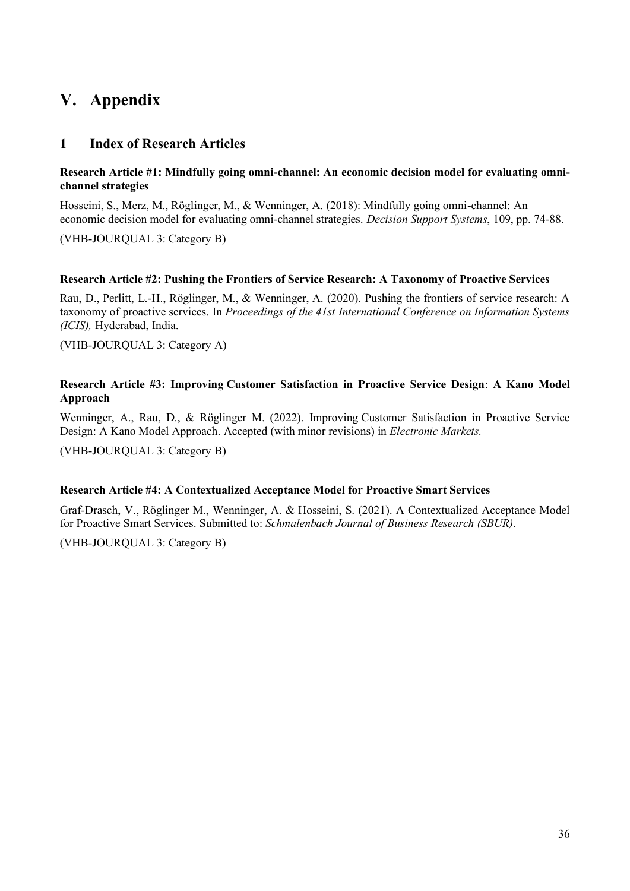# <span id="page-41-0"></span>**V. Appendix**

#### <span id="page-41-1"></span>**1 Index of Research Articles**

#### **Research Article #1: Mindfully going omni-channel: An economic decision model for evaluating omnichannel strategies**

Hosseini, S., Merz, M., Röglinger, M., & Wenninger, A. (2018): Mindfully going omni-channel: An economic decision model for evaluating omni-channel strategies. *Decision Support Systems*, 109, pp. 74-88.

(VHB-JOURQUAL 3: Category B)

#### **Research Article #2: Pushing the Frontiers of Service Research: A Taxonomy of Proactive Services**

Rau, D., Perlitt, L.-H., Röglinger, M., & Wenninger, A. (2020). Pushing the frontiers of service research: A taxonomy of proactive services. In *Proceedings of the 41st International Conference on Information Systems (ICIS),* Hyderabad, India.

(VHB-JOURQUAL 3: Category A)

#### **Research Article #3: Improving Customer Satisfaction in Proactive Service Design**: **A Kano Model Approach**

Wenninger, A., Rau, D., & Röglinger M. (2022). Improving Customer Satisfaction in Proactive Service Design: A Kano Model Approach. Accepted (with minor revisions) in *Electronic Markets.*

(VHB-JOURQUAL 3: Category B)

#### **Research Article #4: A Contextualized Acceptance Model for Proactive Smart Services**

Graf-Drasch, V., Röglinger M., Wenninger, A. & Hosseini, S. (2021). A Contextualized Acceptance Model for Proactive Smart Services. Submitted to: *Schmalenbach Journal of Business Research (SBUR).*

(VHB-JOURQUAL 3: Category B)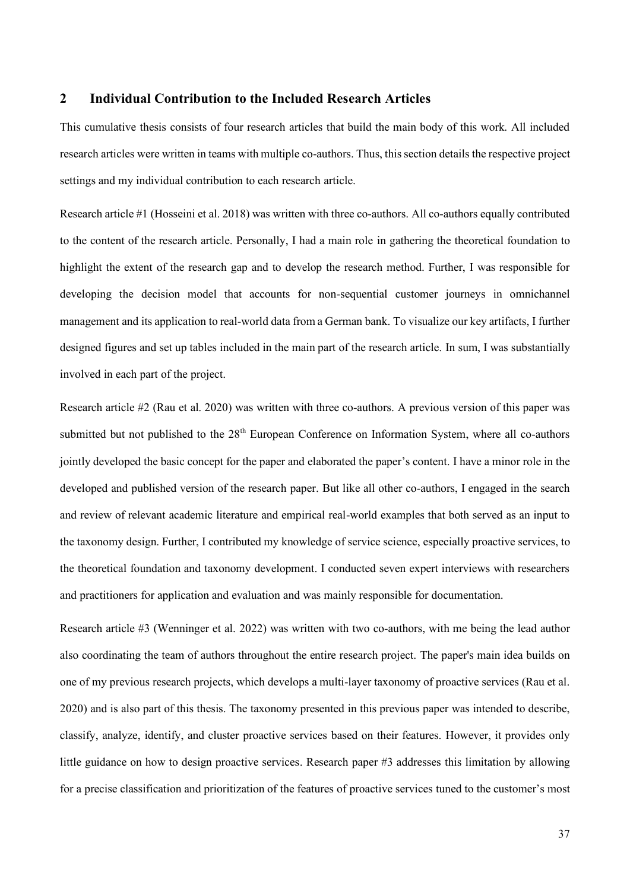#### <span id="page-42-0"></span>**2 Individual Contribution to the Included Research Articles**

This cumulative thesis consists of four research articles that build the main body of this work. All included research articles were written in teams with multiple co-authors. Thus, this section details the respective project settings and my individual contribution to each research article.

Research article #1 (Hosseini et al. 2018) was written with three co-authors. All co-authors equally contributed to the content of the research article. Personally, I had a main role in gathering the theoretical foundation to highlight the extent of the research gap and to develop the research method. Further, I was responsible for developing the decision model that accounts for non-sequential customer journeys in omnichannel management and its application to real-world data from a German bank. To visualize our key artifacts, I further designed figures and set up tables included in the main part of the research article. In sum, I was substantially involved in each part of the project.

Research article #2 (Rau et al. 2020) was written with three co-authors. A previous version of this paper was submitted but not published to the 28<sup>th</sup> European Conference on Information System, where all co-authors jointly developed the basic concept for the paper and elaborated the paper's content. I have a minor role in the developed and published version of the research paper. But like all other co-authors, I engaged in the search and review of relevant academic literature and empirical real-world examples that both served as an input to the taxonomy design. Further, I contributed my knowledge of service science, especially proactive services, to the theoretical foundation and taxonomy development. I conducted seven expert interviews with researchers and practitioners for application and evaluation and was mainly responsible for documentation.

Research article #3 (Wenninger et al. 2022) was written with two co-authors, with me being the lead author also coordinating the team of authors throughout the entire research project. The paper's main idea builds on one of my previous research projects, which develops a multi-layer taxonomy of proactive services (Rau et al. 2020) and is also part of this thesis. The taxonomy presented in this previous paper was intended to describe, classify, analyze, identify, and cluster proactive services based on their features. However, it provides only little guidance on how to design proactive services. Research paper #3 addresses this limitation by allowing for a precise classification and prioritization of the features of proactive services tuned to the customer's most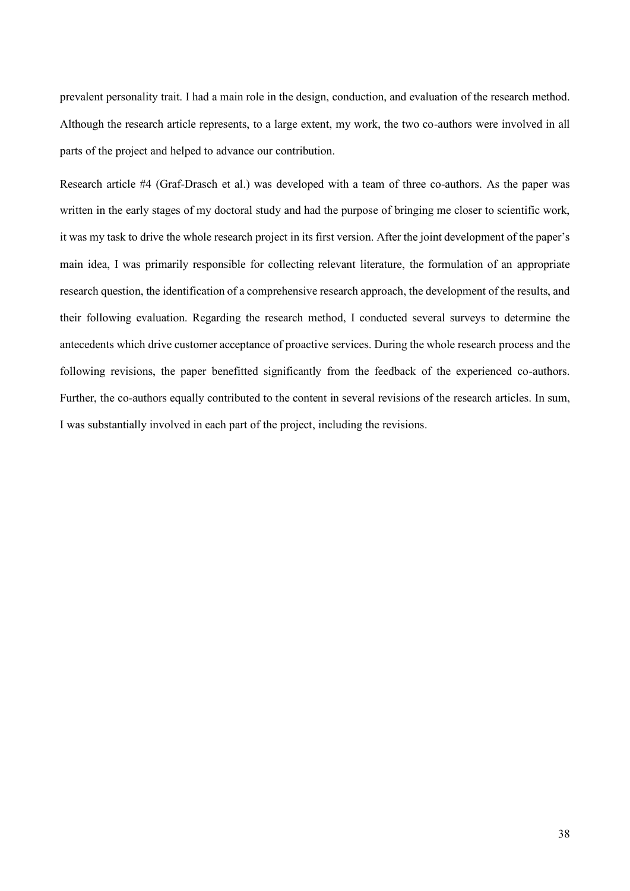prevalent personality trait. I had a main role in the design, conduction, and evaluation of the research method. Although the research article represents, to a large extent, my work, the two co-authors were involved in all parts of the project and helped to advance our contribution.

Research article #4 (Graf-Drasch et al.) was developed with a team of three co-authors. As the paper was written in the early stages of my doctoral study and had the purpose of bringing me closer to scientific work, it was my task to drive the whole research project in its first version. After the joint development of the paper's main idea, I was primarily responsible for collecting relevant literature, the formulation of an appropriate research question, the identification of a comprehensive research approach, the development of the results, and their following evaluation. Regarding the research method, I conducted several surveys to determine the antecedents which drive customer acceptance of proactive services. During the whole research process and the following revisions, the paper benefitted significantly from the feedback of the experienced co-authors. Further, the co-authors equally contributed to the content in several revisions of the research articles. In sum, I was substantially involved in each part of the project, including the revisions.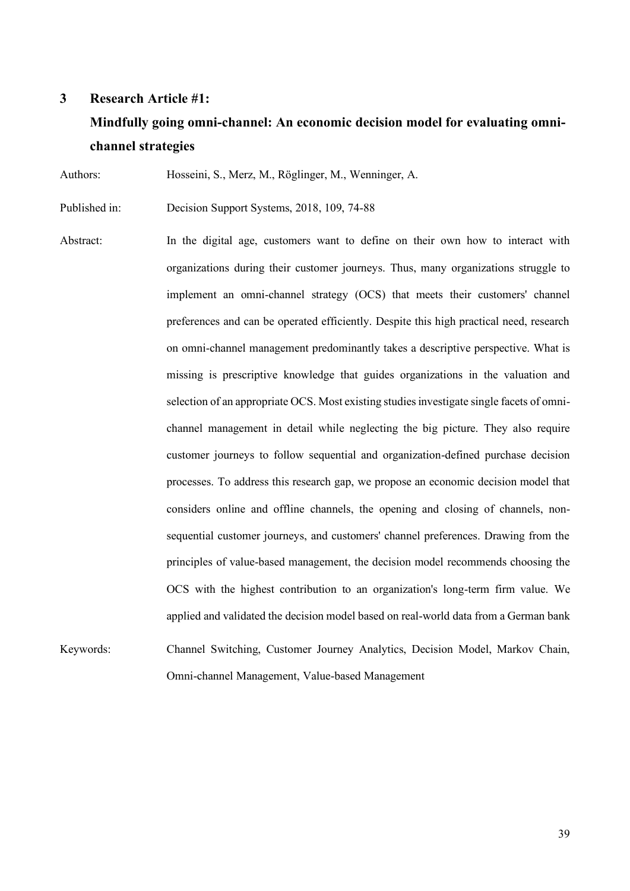#### <span id="page-44-0"></span>**3 Research Article #1:**

# **Mindfully going omni-channel: An economic decision model for evaluating omnichannel strategies**

Authors: Hosseini, S., Merz, M., Röglinger, M., Wenninger, A.

Published in: Decision Support Systems, 2018, 109, 74-88

Abstract: In the digital age, customers want to define on their own how to interact with organizations during their customer journeys. Thus, many organizations struggle to implement an omni-channel strategy (OCS) that meets their customers' channel preferences and can be operated efficiently. Despite this high practical need, research on omni-channel management predominantly takes a descriptive perspective. What is missing is prescriptive knowledge that guides organizations in the valuation and selection of an appropriate OCS. Most existing studies investigate single facets of omnichannel management in detail while neglecting the big picture. They also require customer journeys to follow sequential and organization-defined purchase decision processes. To address this research gap, we propose an economic decision model that considers online and offline channels, the opening and closing of channels, nonsequential customer journeys, and customers' channel preferences. Drawing from the principles of value-based management, the decision model recommends choosing the OCS with the highest contribution to an organization's long-term firm value. We applied and validated the decision model based on real-world data from a German bank Keywords: Channel Switching, Customer Journey Analytics, Decision Model, Markov Chain,

Omni-channel Management, Value-based Management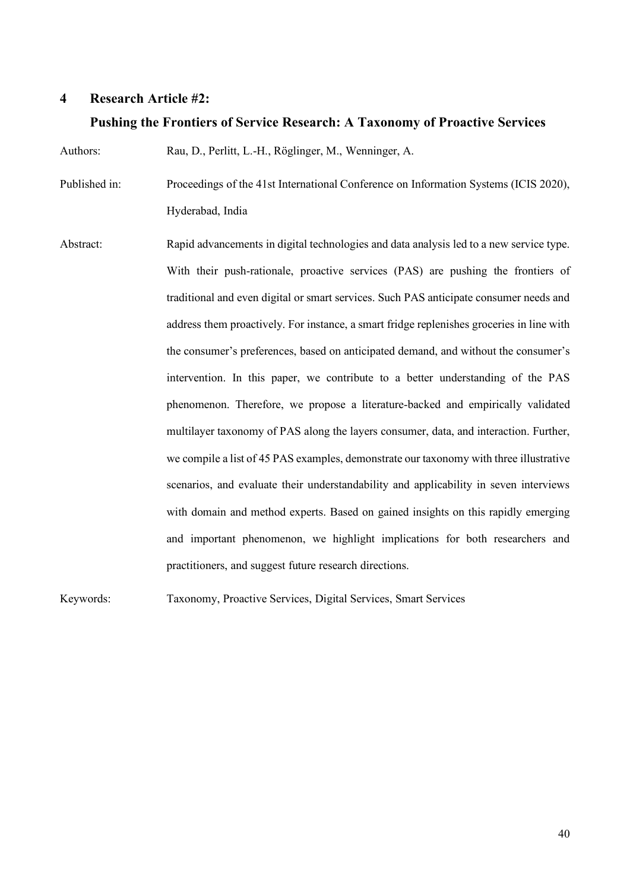#### <span id="page-45-0"></span>**4 Research Article #2:**

#### **Pushing the Frontiers of Service Research: A Taxonomy of Proactive Services**

Authors: Rau, D., Perlitt, L.-H., Röglinger, M., Wenninger, A.

Published in: Proceedings of the 41st International Conference on Information Systems (ICIS 2020), Hyderabad, India

Abstract: Rapid advancements in digital technologies and data analysis led to a new service type. With their push-rationale, proactive services (PAS) are pushing the frontiers of traditional and even digital or smart services. Such PAS anticipate consumer needs and address them proactively. For instance, a smart fridge replenishes groceries in line with the consumer's preferences, based on anticipated demand, and without the consumer's intervention. In this paper, we contribute to a better understanding of the PAS phenomenon. Therefore, we propose a literature-backed and empirically validated multilayer taxonomy of PAS along the layers consumer, data, and interaction. Further, we compile a list of 45 PAS examples, demonstrate our taxonomy with three illustrative scenarios, and evaluate their understandability and applicability in seven interviews with domain and method experts. Based on gained insights on this rapidly emerging and important phenomenon, we highlight implications for both researchers and practitioners, and suggest future research directions.

Keywords: Taxonomy, Proactive Services, Digital Services, Smart Services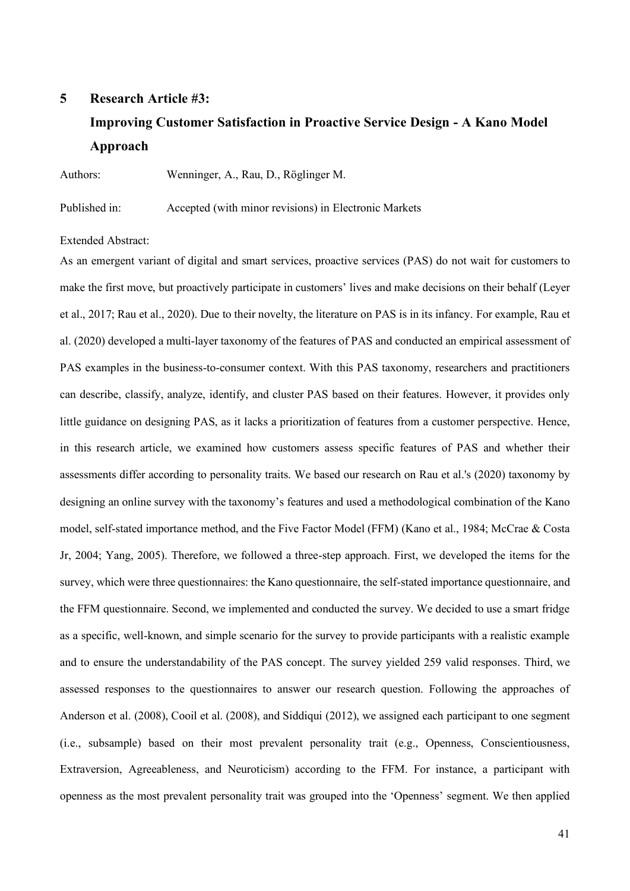# <span id="page-46-0"></span>**5 Research Article #3: Improving Customer Satisfaction in Proactive Service Design - A Kano Model Approach**

Authors: Wenninger, A., Rau, D., Röglinger M.

Published in: Accepted (with minor revisions) in Electronic Markets

Extended Abstract:

As an emergent variant of digital and smart services, proactive services (PAS) do not wait for customers to make the first move, but proactively participate in customers' lives and make decisions on their behalf (Leyer et al., 2017; Rau et al., 2020). Due to their novelty, the literature on PAS is in its infancy. For example, Rau et al. (2020) developed a multi-layer taxonomy of the features of PAS and conducted an empirical assessment of PAS examples in the business-to-consumer context. With this PAS taxonomy, researchers and practitioners can describe, classify, analyze, identify, and cluster PAS based on their features. However, it provides only little guidance on designing PAS, as it lacks a prioritization of features from a customer perspective. Hence, in this research article, we examined how customers assess specific features of PAS and whether their assessments differ according to personality traits. We based our research on Rau et al.'s (2020) taxonomy by designing an online survey with the taxonomy's features and used a methodological combination of the Kano model, self-stated importance method, and the Five Factor Model (FFM) (Kano et al., 1984; McCrae & Costa Jr, 2004; Yang, 2005). Therefore, we followed a three-step approach. First, we developed the items for the survey, which were three questionnaires: the Kano questionnaire, the self-stated importance questionnaire, and the FFM questionnaire. Second, we implemented and conducted the survey. We decided to use a smart fridge as a specific, well-known, and simple scenario for the survey to provide participants with a realistic example and to ensure the understandability of the PAS concept. The survey yielded 259 valid responses. Third, we assessed responses to the questionnaires to answer our research question. Following the approaches of Anderson et al. (2008), Cooil et al. (2008), and Siddiqui (2012), we assigned each participant to one segment (i.e., subsample) based on their most prevalent personality trait (e.g., Openness, Conscientiousness, Extraversion, Agreeableness, and Neuroticism) according to the FFM. For instance, a participant with openness as the most prevalent personality trait was grouped into the 'Openness' segment. We then applied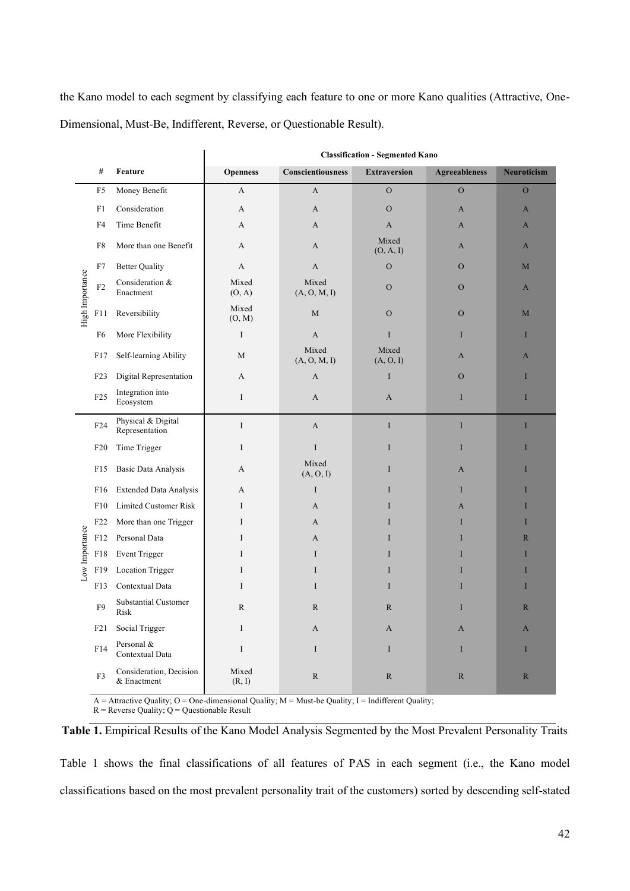the Kano model to each segment by classifying each feature to one or more Kano qualities (Attractive, One-Dimensional, Must-Be, Indifferent, Reverse, or Questionable Result).

|                 |                 |                                                                                                      | <b>Classification - Segmented Kano</b> |                       |                     |                      |                    |  |
|-----------------|-----------------|------------------------------------------------------------------------------------------------------|----------------------------------------|-----------------------|---------------------|----------------------|--------------------|--|
|                 | $\#$            | Feature                                                                                              | <b>Openness</b>                        | Conscientiousness     | <b>Extraversion</b> | <b>Agreeableness</b> | <b>Neuroticism</b> |  |
|                 | F <sub>5</sub>  | Money Benefit                                                                                        | A                                      | $\mathbf{A}$          | $\mathcal{O}$       | $\mathcal{O}$        | $\mathcal{O}$      |  |
|                 | F1              | Consideration                                                                                        | A                                      | A                     | $\mathcal{O}$       | $\mathbf{A}$         | $\mathbf{A}$       |  |
|                 | F4              | Time Benefit                                                                                         | A                                      | A                     | A                   | A                    | $\mathbf{A}$       |  |
|                 | F8              | More than one Benefit                                                                                | A                                      | A                     | Mixed<br>(O, A, I)  | A                    | $\mathbf{A}$       |  |
|                 | F7              | <b>Better Quality</b>                                                                                | A                                      | A                     | $\mathcal{O}$       | $\mathcal{O}$        | M                  |  |
| High Importance | ${\rm F2}$      | Consideration &<br>Enactment                                                                         | Mixed<br>(0, A)                        | Mixed<br>(A, O, M, I) | $\mathcal{O}$       | $\mathcal{O}$        | $\mathbf{A}$       |  |
|                 | F11             | Reversibility                                                                                        | Mixed<br>(O, M)                        | $\mathbf M$           | $\mathcal{O}$       | ${\mathcal O}$       | M                  |  |
|                 | F <sub>6</sub>  | More Flexibility                                                                                     | I                                      | $\boldsymbol{A}$      | I                   | I                    | I                  |  |
|                 | F17             | Self-learning Ability                                                                                | M                                      | Mixed<br>(A, O, M, I) | Mixed<br>(A, O, I)  | $\mathbf{A}$         | $\mathbf{A}$       |  |
|                 | F <sub>23</sub> | Digital Representation                                                                               | A                                      | A                     | I                   | $\mathcal{O}$        | I                  |  |
|                 | F25             | Integration into<br>Ecosystem                                                                        | I                                      | A<br>A                |                     | $\mathbf I$          | $\bf I$            |  |
|                 | F24             | Physical & Digital<br>Representation                                                                 | $\bf{I}$                               | $\mathbf{A}$          | I                   | $\mathbf I$          | I                  |  |
|                 | F20             | Time Trigger                                                                                         | I                                      | $\rm I$               | I                   | $\mathbf I$          | I                  |  |
|                 | F15             | <b>Basic Data Analysis</b>                                                                           | А                                      | Mixed<br>(A, O, I)    | I                   | $\mathbf{A}$         | I                  |  |
|                 | F <sub>16</sub> | <b>Extended Data Analysis</b>                                                                        | A                                      | $\bf{I}$              | I                   | I                    | I                  |  |
|                 | F10             | Limited Customer Risk                                                                                | Ι                                      | A                     | I                   | A                    | I                  |  |
|                 | F22             | More than one Trigger                                                                                | I                                      | A                     | I                   | I                    | I                  |  |
| Low Importance  | F12             | Personal Data                                                                                        | I                                      | A                     | I                   | I                    | $\mathbb{R}$       |  |
|                 | ${\rm F}18$     | Event Trigger                                                                                        | Ι                                      | $\bf{I}$              | I                   | I                    | I                  |  |
|                 | F19             | Location Trigger                                                                                     | I                                      | $\bf{I}$              | I                   | I                    | I                  |  |
|                 | F13             | Contextual Data                                                                                      | I                                      | $\bf{I}$              | I                   | I                    | I                  |  |
|                 | F <sub>9</sub>  | Substantial Customer<br>Risk                                                                         | ${\bf R}$                              | ${\bf R}$             | R                   | $\rm I$              | ${\mathbb R}$      |  |
|                 | F21             | Social Trigger                                                                                       | Ι                                      | A                     | A                   | A                    | A                  |  |
|                 | F14             | Personal &<br>Contextual Data                                                                        | I                                      | $\bf{I}$              | I                   | $\mathbf I$          | $\bf{I}$           |  |
|                 | F3              | Consideration, Decision<br>& Enactment                                                               | Mixed<br>(R, I)                        | $\mathbb{R}$          | $\mathbb{R}$        | ${\mathbb R}$        | ${\bf R}$          |  |
|                 |                 | $A =$ Attractive Quality; O = One-dimensional Quality; M = Must-be Quality; I = Indifferent Quality; |                                        |                       |                     |                      |                    |  |

 $A =$  Attractive Quality; O = One-dimensional Q<br>R = Reverse Quality; Q = Questionable Result

**Table 1.** Empirical Results of the Kano Model Analysis Segmented by the Most Prevalent Personality Traits

Table 1 shows the final classifications of all features of PAS in each segment (i.e., the Kano model classifications based on the most prevalent personality trait of the customers) sorted by descending self-stated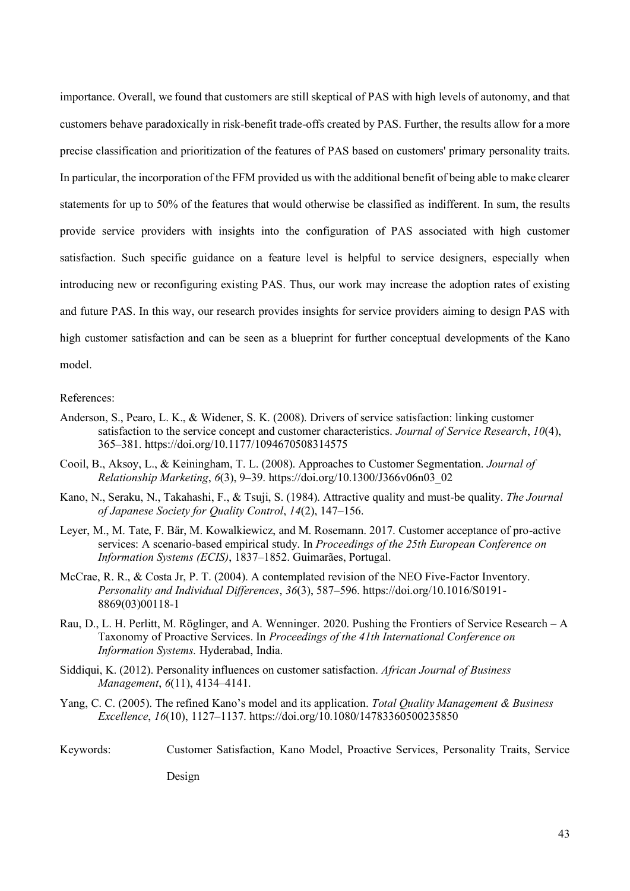importance. Overall, we found that customers are still skeptical of PAS with high levels of autonomy, and that customers behave paradoxically in risk-benefit trade-offs created by PAS. Further, the results allow for a more precise classification and prioritization of the features of PAS based on customers' primary personality traits. In particular, the incorporation of the FFM provided us with the additional benefit of being able to make clearer statements for up to 50% of the features that would otherwise be classified as indifferent. In sum, the results provide service providers with insights into the configuration of PAS associated with high customer satisfaction. Such specific guidance on a feature level is helpful to service designers, especially when introducing new or reconfiguring existing PAS. Thus, our work may increase the adoption rates of existing and future PAS. In this way, our research provides insights for service providers aiming to design PAS with high customer satisfaction and can be seen as a blueprint for further conceptual developments of the Kano model.

#### References:

- Anderson, S., Pearo, L. K., & Widener, S. K. (2008). Drivers of service satisfaction: linking customer satisfaction to the service concept and customer characteristics. *Journal of Service Research*, *10*(4), 365–381. https://doi.org/10.1177/1094670508314575
- Cooil, B., Aksoy, L., & Keiningham, T. L. (2008). Approaches to Customer Segmentation. *Journal of Relationship Marketing*, *6*(3), 9–39. https://doi.org/10.1300/J366v06n03\_02
- Kano, N., Seraku, N., Takahashi, F., & Tsuji, S. (1984). Attractive quality and must-be quality. *The Journal of Japanese Society for Quality Control*, *14*(2), 147–156.
- Leyer, M., M. Tate, F. Bär, M. Kowalkiewicz, and M. Rosemann. 2017. Customer acceptance of pro-active services: A scenario-based empirical study. In *Proceedings of the 25th European Conference on Information Systems (ECIS)*, 1837–1852. Guimarães, Portugal.
- McCrae, R. R., & Costa Jr, P. T. (2004). A contemplated revision of the NEO Five-Factor Inventory. *Personality and Individual Differences*, *36*(3), 587–596. https://doi.org/10.1016/S0191- 8869(03)00118-1
- Rau, D., L. H. Perlitt, M. Röglinger, and A. Wenninger. 2020. Pushing the Frontiers of Service Research A Taxonomy of Proactive Services. In *Proceedings of the 41th International Conference on Information Systems.* Hyderabad, India.
- Siddiqui, K. (2012). Personality influences on customer satisfaction. *African Journal of Business Management*, *6*(11), 4134–4141.
- Yang, C. C. (2005). The refined Kano's model and its application. *Total Quality Management & Business Excellence*, *16*(10), 1127–1137. https://doi.org/10.1080/14783360500235850
- Keywords: Customer Satisfaction, Kano Model, Proactive Services, Personality Traits, Service

Design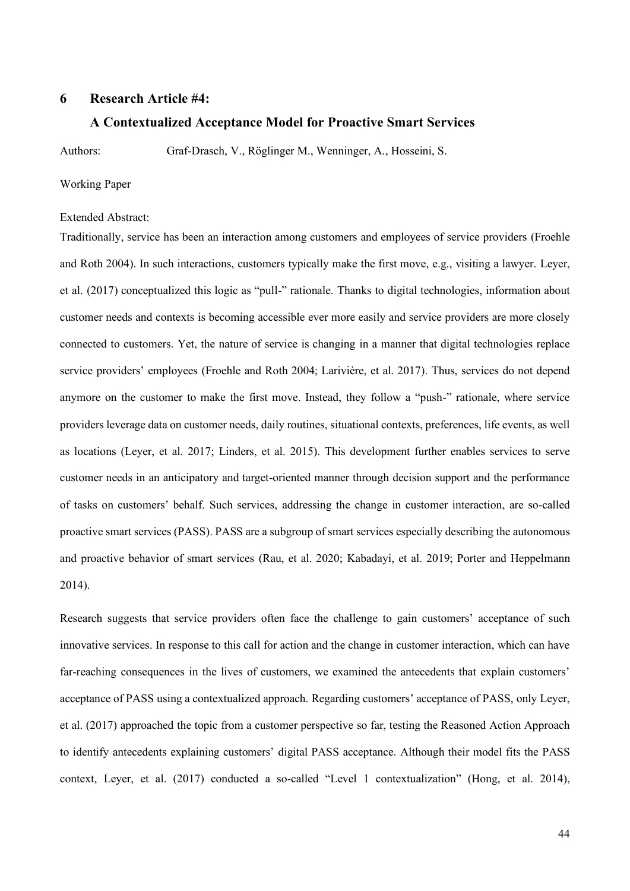#### <span id="page-49-0"></span>**6 Research Article #4:**

#### **A Contextualized Acceptance Model for Proactive Smart Services**

Authors: Graf-Drasch, V., Röglinger M., Wenninger, A., Hosseini, S.

#### Working Paper

#### Extended Abstract:

Traditionally, service has been an interaction among customers and employees of service providers (Froehle and Roth 2004). In such interactions, customers typically make the first move, e.g., visiting a lawyer. Leyer, et al. (2017) conceptualized this logic as "pull-" rationale. Thanks to digital technologies, information about customer needs and contexts is becoming accessible ever more easily and service providers are more closely connected to customers. Yet, the nature of service is changing in a manner that digital technologies replace service providers' employees (Froehle and Roth 2004; Larivière, et al. 2017). Thus, services do not depend anymore on the customer to make the first move. Instead, they follow a "push-" rationale, where service providers leverage data on customer needs, daily routines, situational contexts, preferences, life events, as well as locations (Leyer, et al. 2017; Linders, et al. 2015). This development further enables services to serve customer needs in an anticipatory and target-oriented manner through decision support and the performance of tasks on customers' behalf. Such services, addressing the change in customer interaction, are so-called proactive smart services (PASS). PASS are a subgroup of smart services especially describing the autonomous and proactive behavior of smart services (Rau, et al. 2020; Kabadayi, et al. 2019; Porter and Heppelmann 2014).

Research suggests that service providers often face the challenge to gain customers' acceptance of such innovative services. In response to this call for action and the change in customer interaction, which can have far-reaching consequences in the lives of customers, we examined the antecedents that explain customers' acceptance of PASS using a contextualized approach. Regarding customers' acceptance of PASS, only Leyer, et al. (2017) approached the topic from a customer perspective so far, testing the Reasoned Action Approach to identify antecedents explaining customers' digital PASS acceptance. Although their model fits the PASS context, Leyer, et al. (2017) conducted a so-called "Level 1 contextualization" (Hong, et al. 2014),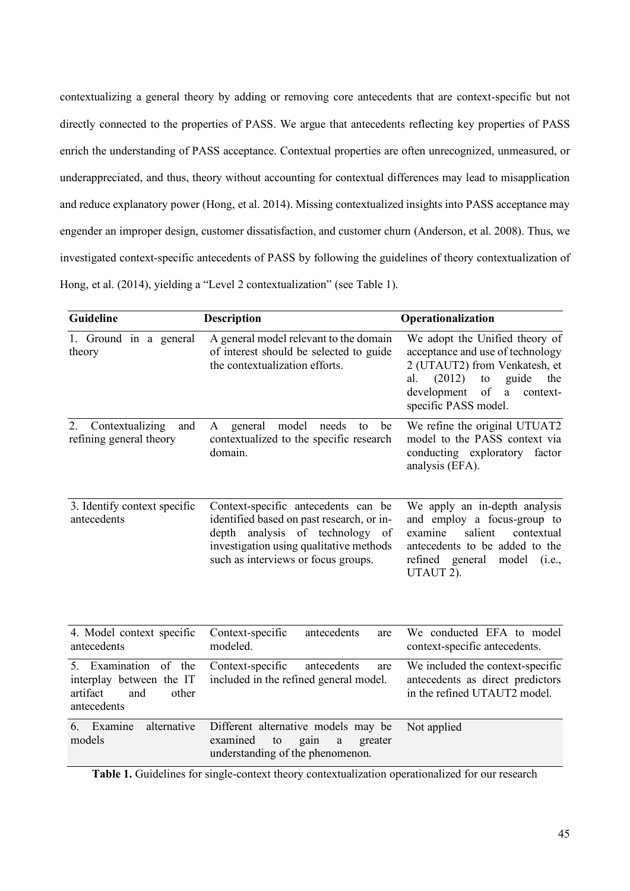contextualizing a general theory by adding or removing core antecedents that are context-specific but not directly connected to the properties of PASS. We argue that antecedents reflecting key properties of PASS enrich the understanding of PASS acceptance. Contextual properties are often unrecognized, unmeasured, or underappreciated, and thus, theory without accounting for contextual differences may lead to misapplication and reduce explanatory power (Hong, et al. 2014). Missing contextualized insights into PASS acceptance may engender an improper design, customer dissatisfaction, and customer churn (Anderson, et al. 2008). Thus, we investigated context-specific antecedents of PASS by following the guidelines of theory contextualization of Hong, et al. (2014), yielding a "Level 2 contextualization" (see Table 1).

| <b>Guideline</b>                                                                             | <b>Description</b>                                                                                                                                                                                       | Operationalization                                                                                                                                                                                                  |
|----------------------------------------------------------------------------------------------|----------------------------------------------------------------------------------------------------------------------------------------------------------------------------------------------------------|---------------------------------------------------------------------------------------------------------------------------------------------------------------------------------------------------------------------|
| 1. Ground in a general<br>theory                                                             | A general model relevant to the domain<br>of interest should be selected to guide<br>the contextualization efforts.                                                                                      | We adopt the Unified theory of<br>acceptance and use of technology<br>2 (UTAUT2) from Venkatesh, et<br>(2012)<br>guide<br>al.<br>to<br>the<br>development<br>of<br>$\mathbf{a}$<br>context-<br>specific PASS model. |
| Contextualizing<br>2.<br>and<br>refining general theory                                      | general model<br>needs<br>A<br>be<br>to<br>contextualized to the specific research<br>domain.                                                                                                            | We refine the original UTUAT2<br>model to the PASS context via<br>conducting exploratory factor<br>analysis (EFA).                                                                                                  |
| 3. Identify context specific<br>antecedents                                                  | Context-specific antecedents can be<br>identified based on past research, or in-<br>analysis of technology of<br>depth<br>investigation using qualitative methods<br>such as interviews or focus groups. | We apply an in-depth analysis<br>and employ a focus-group to<br>salient<br>contextual<br>examine<br>antecedents to be added to the<br>refined general model<br>(i.e.,<br>UTAUT 2).                                  |
| 4. Model context specific<br>antecedents                                                     | Context-specific<br>antecedents<br>are<br>modeled.                                                                                                                                                       | We conducted EFA to model<br>context-specific antecedents.                                                                                                                                                          |
| 5. Examination of the<br>interplay between the IT<br>artifact<br>and<br>other<br>antecedents | Context-specific<br>antecedents<br>are<br>included in the refined general model.                                                                                                                         | We included the context-specific<br>antecedents as direct predictors<br>in the refined UTAUT2 model.                                                                                                                |
| alternative<br>6. Examine<br>models                                                          | Different alternative models may be<br>examined<br>to<br>gain<br>greater<br>$\rm{a}$<br>understanding of the phenomenon.                                                                                 | Not applied                                                                                                                                                                                                         |

**Table 1.** Guidelines for single-context theory contextualization operationalized for our research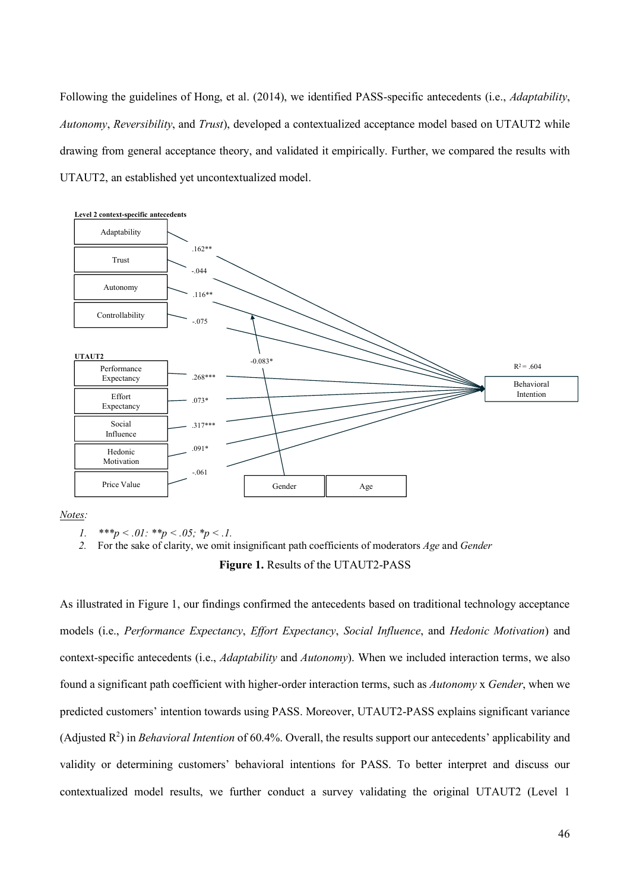Following the guidelines of Hong, et al. (2014), we identified PASS-specific antecedents (i.e., *Adaptability*, *Autonomy*, *Reversibility*, and *Trust*), developed a contextualized acceptance model based on UTAUT2 while drawing from general acceptance theory, and validated it empirically. Further, we compared the results with UTAUT2, an established yet uncontextualized model.



*Notes:*

*1. \*\*\*p < .01: \*\*p < .05; \*p < .1.*

*2.* For the sake of clarity, we omit insignificant path coefficients of moderators *Age* and *Gender*

**Figure 1.** Results of the UTAUT2-PASS

As illustrated in Figure 1, our findings confirmed the antecedents based on traditional technology acceptance models (i.e., *Performance Expectancy*, *Effort Expectancy*, *Social Influence*, and *Hedonic Motivation*) and context-specific antecedents (i.e., *Adaptability* and *Autonomy*). When we included interaction terms, we also found a significant path coefficient with higher-order interaction terms, such as *Autonomy* x *Gender*, when we predicted customers' intention towards using PASS. Moreover, UTAUT2-PASS explains significant variance (Adjusted R 2 ) in *Behavioral Intention* of 60.4%. Overall, the results support our antecedents' applicability and validity or determining customers' behavioral intentions for PASS. To better interpret and discuss our contextualized model results, we further conduct a survey validating the original UTAUT2 (Level 1